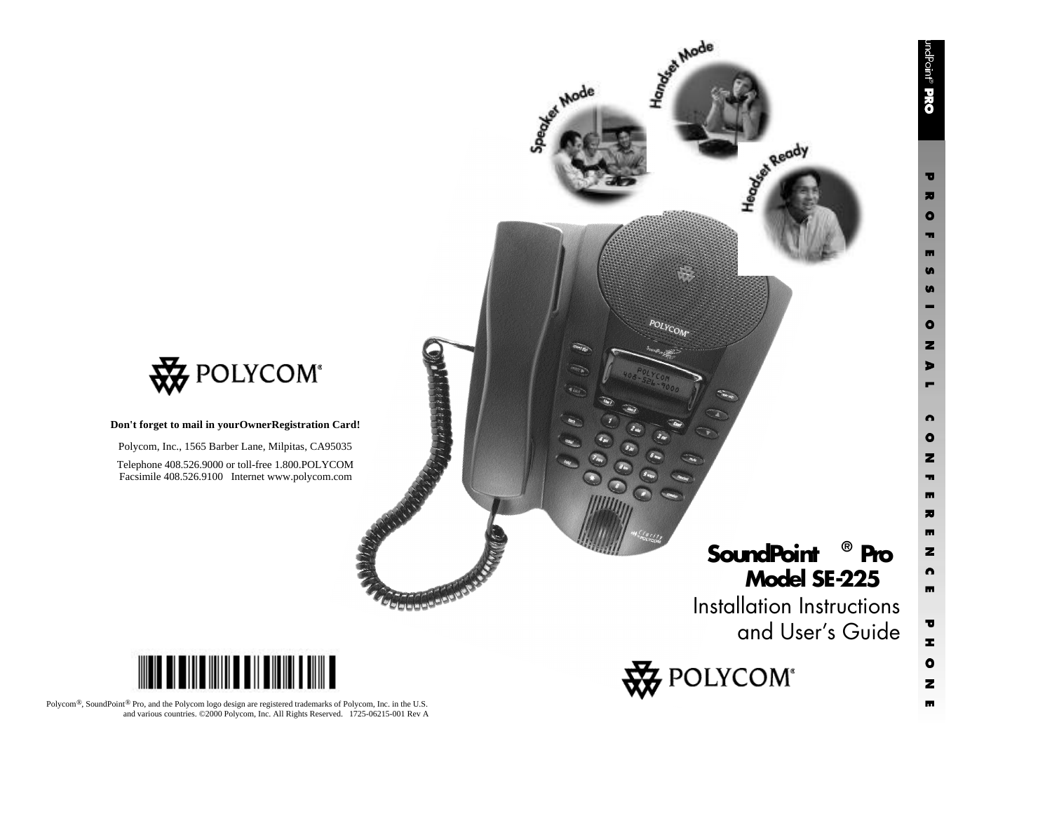$\overline{\mathbf{v}}$  $\overline{\phantom{a}}$  $\bullet$ m m  $\bullet$ S н

 $\bullet$  $\mathbf{z}$ 

 $\blacksquare$ Е

 $\bullet$  $\bullet$  $\mathbf{z}$  $\blacksquare$  $\overline{\mathbf{m}}$  $\overline{\bm{x}}$  $\blacksquare$  $\mathbf{z}$  $\bullet$  $\blacksquare$ 

 $\overline{\mathbf{U}}$ z

 $\bullet$ 

 $\mathbf{z}$  $\overline{\mathbf{m}}$ 



**Don't forget to mail in yourOwnerRegistration Card!**

Polycom, Inc., 1565 Barber Lane, Milpitas, CA95035

Telephone 408.526.9000 or toll-free 1.800.POLYCOM Facsimile 408.526.9100 Internet www.polycom.com

# <u> IIII DENGINI DENGINI DINI B</u>

**Selejaje Bi<sup>aje)</sup>** 

Polycom®, SoundPoint® Pro, and the Polycom logo design are registered trademarks of Polycom, Inc. in the U.S. and various countries. ©2000 Polycom, Inc. All Rights Reserved. 1725-06215-001 Rev A Installation Instructions and User's Guide

**SoundPoint ® Pro Model SE-225**

**British Ready** 



Asiat Mode

 $POLY_{COM}$ 

der Mode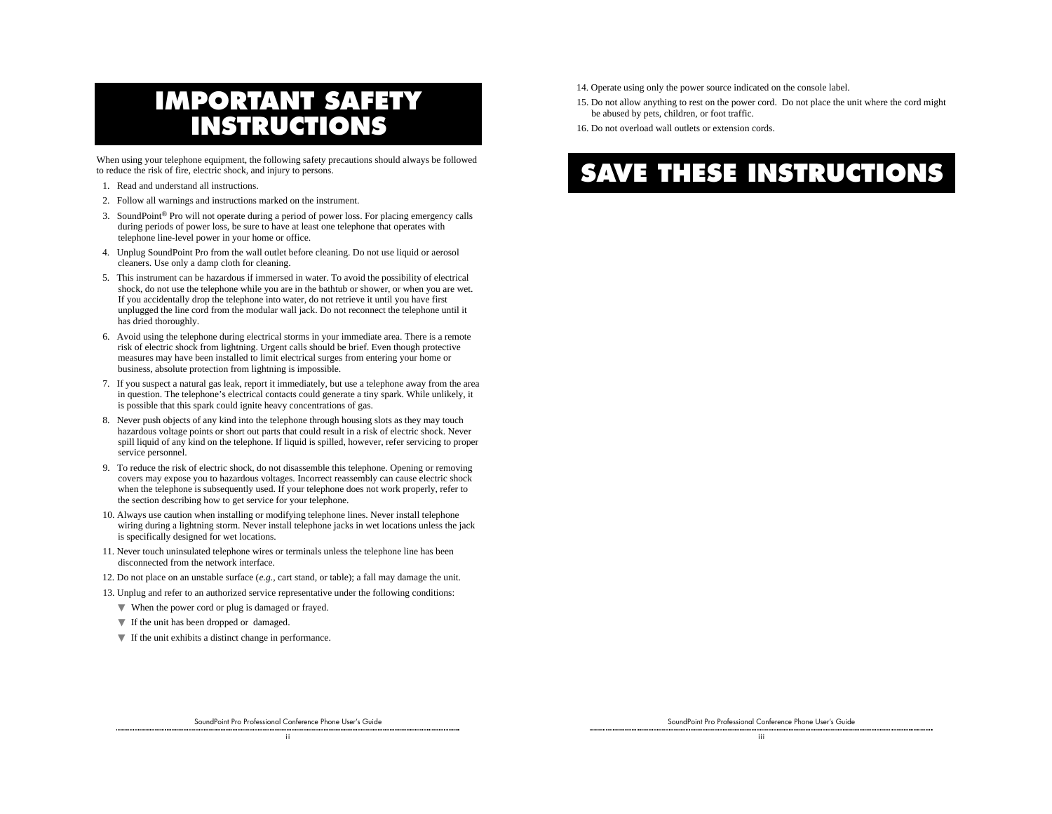# **IMPORTANT SAFETY INSTRUCTIONS**

When using your telephone equipment, the following safety precautions should always be followed to reduce the risk of fire, electric shock, and injury to persons.

- 1. Read and understand all instructions.
- 2. Follow all warnings and instructions marked on the instrument.
- 3. SoundPoint® Pro will not operate during a period of power loss. For placing emergency calls during periods of power loss, be sure to have at least one telephone that operates with telephone line-level power in your home or office.
- 4. Unplug SoundPoint Pro from the wall outlet before cleaning. Do not use liquid or aerosol cleaners. Use only a damp cloth for cleaning.
- 5. This instrument can be hazardous if immersed in water. To avoid the possibility of electrical shock, do not use the telephone while you are in the bathtub or shower, or when you are wet. If you accidentally drop the telephone into water, do not retrieve it until you have first unplugged the line cord from the modular wall jack. Do not reconnect the telephone until it has dried thoroughly.
- 6. Avoid using the telephone during electrical storms in your immediate area. There is a remote risk of electric shock from lightning. Urgent calls should be brief. Even though protective measures may have been installed to limit electrical surges from entering your home or business, absolute protection from lightning is impossible.
- 7. If you suspect a natural gas leak, report it immediately, but use a telephone away from the area in question. The telephone's electrical contacts could generate a tiny spark. While unlikely, it is possible that this spark could ignite heavy concentrations of gas.
- 8. Never push objects of any kind into the telephone through housing slots as they may touch hazardous voltage points or short out parts that could result in a risk of electric shock. Never spill liquid of any kind on the telephone. If liquid is spilled, however, refer servicing to proper service personnel.
- 9. To reduce the risk of electric shock, do not disassemble this telephone. Opening or removing covers may expose you to hazardous voltages. Incorrect reassembly can cause electric shock when the telephone is subsequently used. If your telephone does not work properly, refer to the section describing how to get service for your telephone.
- 10. Always use caution when installing or modifying telephone lines. Never install telephone wiring during a lightning storm. Never install telephone jacks in wet locations unless the jack is specifically designed for wet locations.
- 11. Never touch uninsulated telephone wires or terminals unless the telephone line has been disconnected from the network interface.
- 12. Do not place on an unstable surface (*e.g.,* cart stand, or table); a fall may damage the unit.
- 13. Unplug and refer to an authorized service representative under the following conditions:
	- ▼ When the power cord or plug is damaged or frayed.
	- ▼ If the unit has been dropped or damaged.
	- $\nabla$  If the unit exhibits a distinct change in performance.
- 14. Operate using only the power source indicated on the console label.
- 15. Do not allow anything to rest on the power cord. Do not place the unit where the cord might be abused by pets, children, or foot traffic.
- 16. Do not overload wall outlets or extension cords.

# **SAVE THESE INSTRUCTIONS**

SoundPoint Pro Professional Conference Phone User's Guide i i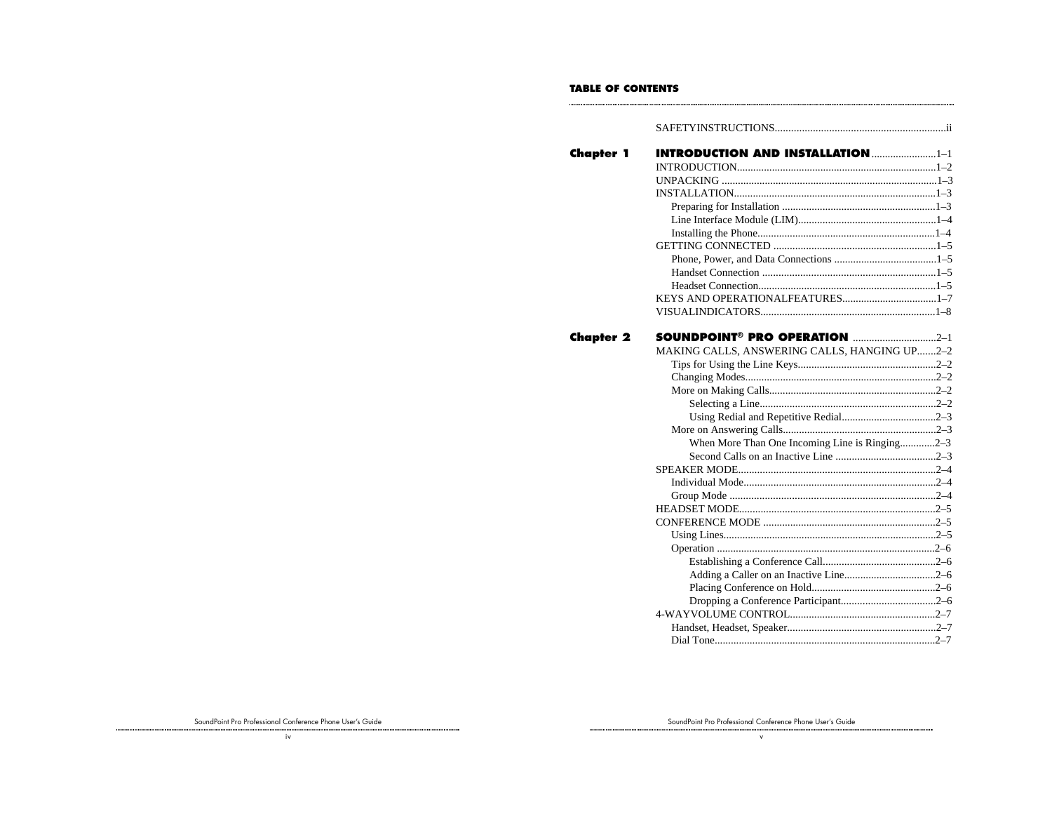#### **TABLE OF CONTENTS**

**COMMENT** 

| Chapter 1 |                                                 |  |
|-----------|-------------------------------------------------|--|
|           |                                                 |  |
|           |                                                 |  |
|           |                                                 |  |
|           |                                                 |  |
|           |                                                 |  |
|           |                                                 |  |
|           |                                                 |  |
|           |                                                 |  |
|           |                                                 |  |
|           |                                                 |  |
|           |                                                 |  |
|           |                                                 |  |
| Chapter 2 | <b>SOUNDPOINT<sup>®</sup> PRO OPERATION</b> 2-1 |  |
|           | MAKING CALLS, ANSWERING CALLS, HANGING UP2-2    |  |
|           |                                                 |  |
|           |                                                 |  |
|           |                                                 |  |
|           |                                                 |  |
|           |                                                 |  |
|           |                                                 |  |
|           | When More Than One Incoming Line is Ringing2-3  |  |
|           |                                                 |  |
|           |                                                 |  |
|           |                                                 |  |
|           |                                                 |  |
|           |                                                 |  |
|           |                                                 |  |
|           |                                                 |  |
|           |                                                 |  |
|           |                                                 |  |
|           |                                                 |  |
|           |                                                 |  |
|           |                                                 |  |
|           |                                                 |  |
|           |                                                 |  |
|           |                                                 |  |

.........

SoundPoint Pro Professional Conference Phone User's Guide

SoundPoint Pro Professional Conference Phone User's Guide v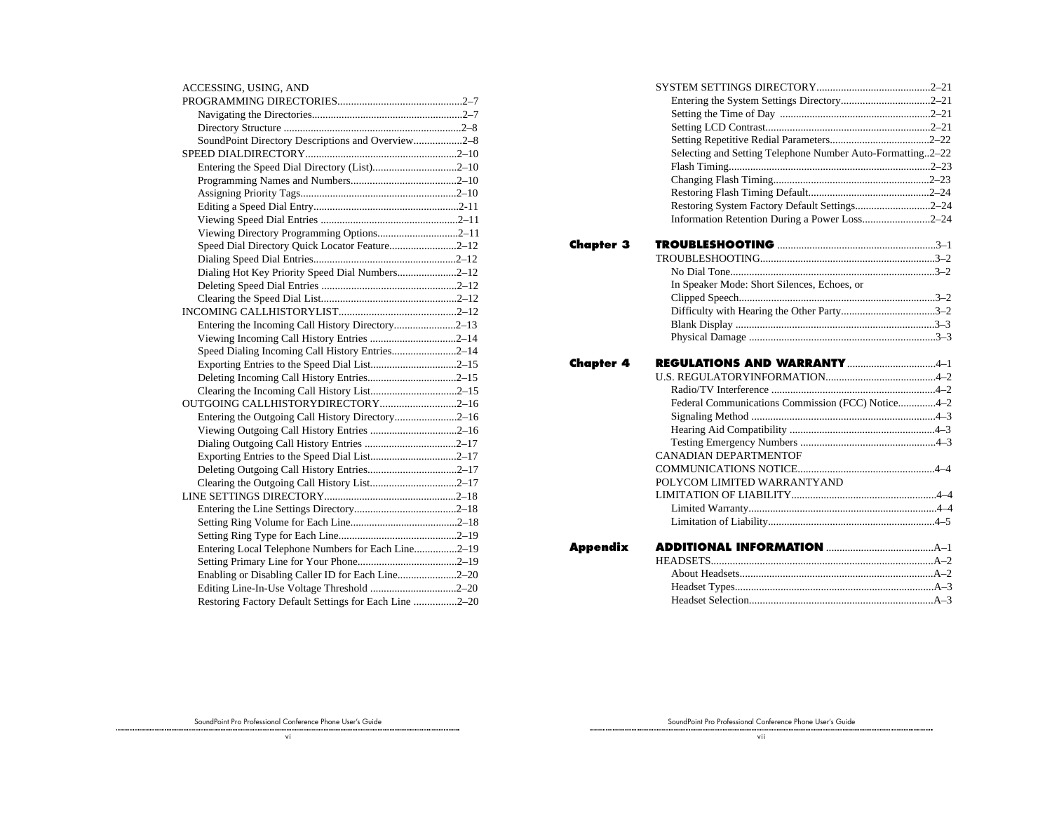| ACCESSING, USING, AND                                 |  |
|-------------------------------------------------------|--|
|                                                       |  |
|                                                       |  |
|                                                       |  |
| SoundPoint Directory Descriptions and Overview2-8     |  |
|                                                       |  |
| Entering the Speed Dial Directory (List)2-10          |  |
|                                                       |  |
|                                                       |  |
|                                                       |  |
|                                                       |  |
| Viewing Directory Programming Options2-11             |  |
| Speed Dial Directory Quick Locator Feature2-12        |  |
|                                                       |  |
| Dialing Hot Key Priority Speed Dial Numbers2-12       |  |
|                                                       |  |
|                                                       |  |
|                                                       |  |
| Entering the Incoming Call History Directory2-13      |  |
|                                                       |  |
| Speed Dialing Incoming Call History Entries2-14       |  |
| Exporting Entries to the Speed Dial List2-15          |  |
|                                                       |  |
| Clearing the Incoming Call History List2-15           |  |
| OUTGOING CALLHISTORYDIRECTORY2-16                     |  |
| Entering the Outgoing Call History Directory2–16      |  |
|                                                       |  |
|                                                       |  |
|                                                       |  |
|                                                       |  |
| Clearing the Outgoing Call History List2-17           |  |
|                                                       |  |
|                                                       |  |
|                                                       |  |
|                                                       |  |
| Entering Local Telephone Numbers for Each Line2-19    |  |
|                                                       |  |
| Enabling or Disabling Caller ID for Each Line2–20     |  |
| Editing Line-In-Use Voltage Threshold 2-20            |  |
| Restoring Factory Default Settings for Each Line 2-20 |  |

|                  | Selecting and Setting Telephone Number Auto-Formatting2-22 |  |
|------------------|------------------------------------------------------------|--|
|                  |                                                            |  |
|                  |                                                            |  |
|                  |                                                            |  |
|                  | Restoring System Factory Default Settings2-24              |  |
|                  | Information Retention During a Power Loss2-24              |  |
| <b>Chapter 3</b> |                                                            |  |
|                  |                                                            |  |
|                  |                                                            |  |
|                  | In Speaker Mode: Short Silences, Echoes, or                |  |
|                  |                                                            |  |
|                  |                                                            |  |
|                  |                                                            |  |
|                  |                                                            |  |
| Chapter 4        |                                                            |  |
|                  |                                                            |  |
|                  |                                                            |  |
|                  | Federal Communications Commission (FCC) Notice4-2          |  |
|                  |                                                            |  |
|                  |                                                            |  |
|                  |                                                            |  |
|                  | <b>CANADIAN DEPARTMENTOF</b>                               |  |
|                  |                                                            |  |
|                  | POLYCOM LIMITED WARRANTYAND                                |  |
|                  |                                                            |  |
|                  |                                                            |  |
|                  |                                                            |  |
| Appendix         |                                                            |  |
|                  |                                                            |  |
|                  |                                                            |  |
|                  |                                                            |  |
|                  |                                                            |  |
|                  |                                                            |  |

SoundPoint Pro Professional Conference Phone User's Guide v i

SoundPoint Pro Professional Conference Phone User's Guide

v i i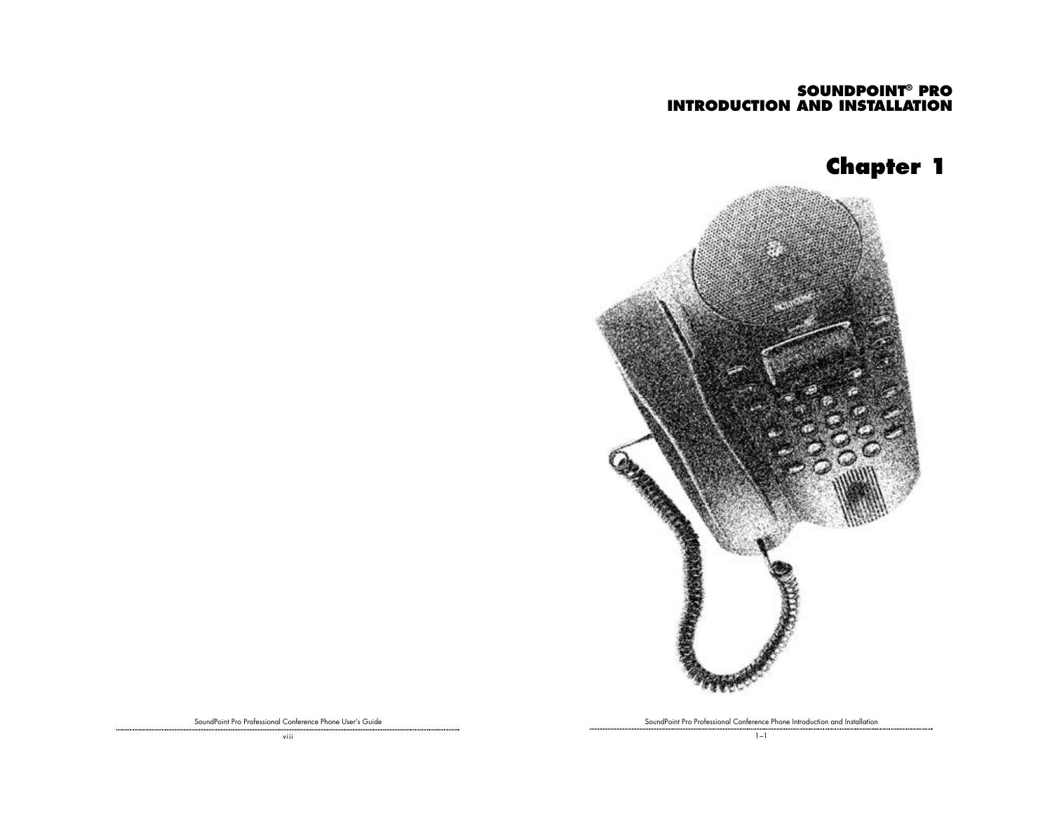# **SOUNDPOINT® PRO INTRODUCTION AND INSTALLATION**

# **Chapter 1**



SoundPoint Pro Professional Conference Phone Introduction and Installation

SoundPoint Pro Professional Conference Phone User's Guide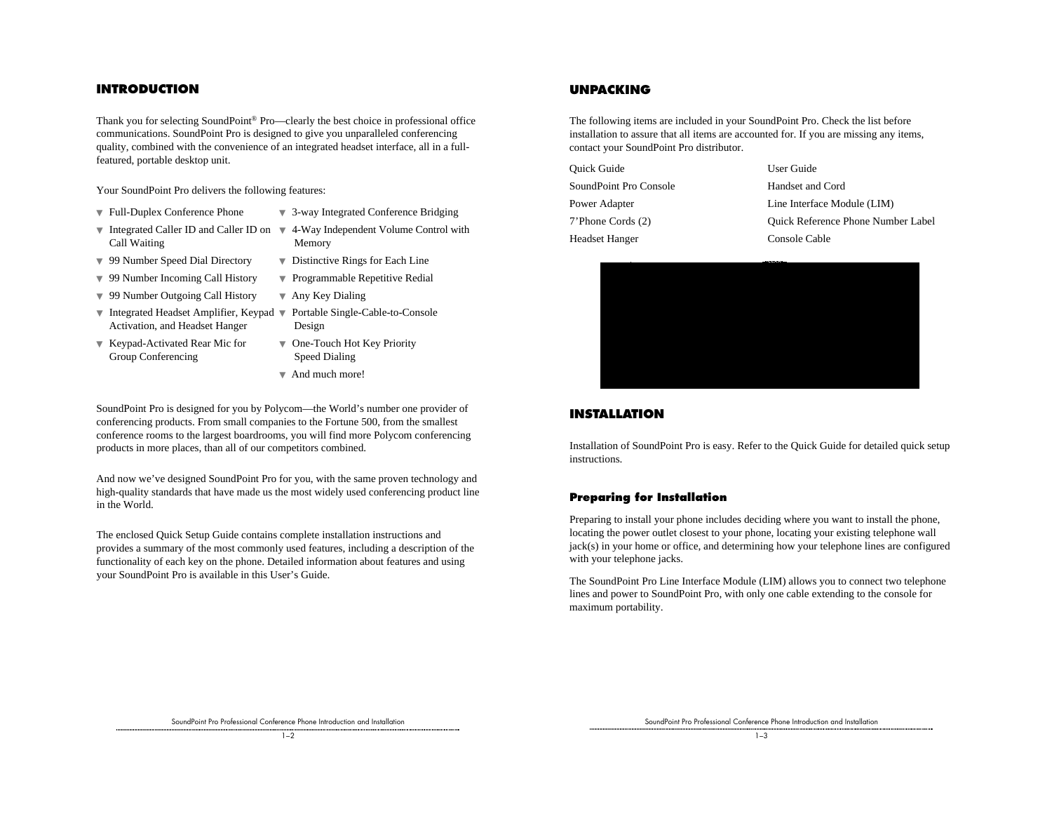#### **INTRODUCTION**

Thank you for selecting SoundPoint® Pro—clearly the best choice in professional office communications. SoundPoint Pro is designed to give you unparalleled conferencing quality, combined with the convenience of an integrated headset interface, all in a fullfeatured, portable desktop unit.

Your SoundPoint Pro delivers the following features:

- 
- ▼ Full-Duplex Conference Phone ▼ 3-way Integrated Conference Bridging
- ▼ Integrated Caller ID and Caller ID on ▼ 4-Way Independent Volume Control with Call Waiting Memory
	-
- ▼ 99 Number Speed Dial Directory ▼ Distinctive Rings for Each Line
- ▼ 99 Number Incoming Call History ▼ Programmable Repetitive Redial
- ▼ 99 Number Outgoing Call History ▼ Any Key Dialing
- ▼ Integrated Headset Amplifier, Keypad ▼ Portable Single-Cable-to-Console Activation, and Headset Hanger Design
- ▼ Keypad-Activated Rear Mic for ▼ One-Touch Hot Key Priority Group Conferencing Speed Dialing
- 
- -
	- ▼ And much more!

SoundPoint Pro is designed for you by Polycom—the World's number one provider of conferencing products. From small companies to the Fortune 500, from the smallest conference rooms to the largest boardrooms, you will find more Polycom conferencing products in more places, than all of our competitors combined.

And now we've designed SoundPoint Pro for you, with the same proven technology and high-quality standards that have made us the most widely used conferencing product line in the World.

The enclosed Quick Setup Guide contains complete installation instructions and provides a summary of the most commonly used features, including a description of the functionality of each key on the phone. Detailed information about features and using your SoundPoint Pro is available in this User's Guide.

### **UNPACKING**

The following items are included in your SoundPoint Pro. Check the list before installation to assure that all items are accounted for. If you are missing any items, contact your SoundPoint Pro distributor.

| Ouick Guide            | User Guide                                |
|------------------------|-------------------------------------------|
| SoundPoint Pro Console | Handset and Cord                          |
| Power Adapter          | Line Interface Module (LIM)               |
| 7'Phone Cords (2)      | <b>Ouick Reference Phone Number Label</b> |
| Headset Hanger         | Console Cable                             |



## **INSTALLATION**

Installation of SoundPoint Pro is easy. Refer to the Quick Guide for detailed quick setup instructions.

#### **Preparing for Installation**

Preparing to install your phone includes deciding where you want to install the phone, locating the power outlet closest to your phone, locating your existing telephone wall jack(s) in your home or office, and determining how your telephone lines are configured with your telephone jacks.

The SoundPoint Pro Line Interface Module (LIM) allows you to connect two telephone lines and power to SoundPoint Pro, with only one cable extending to the console for maximum portability.

SoundPoint Pro Professional Conference Phone Introduction and Installation

 $\frac{1}{1}$  –2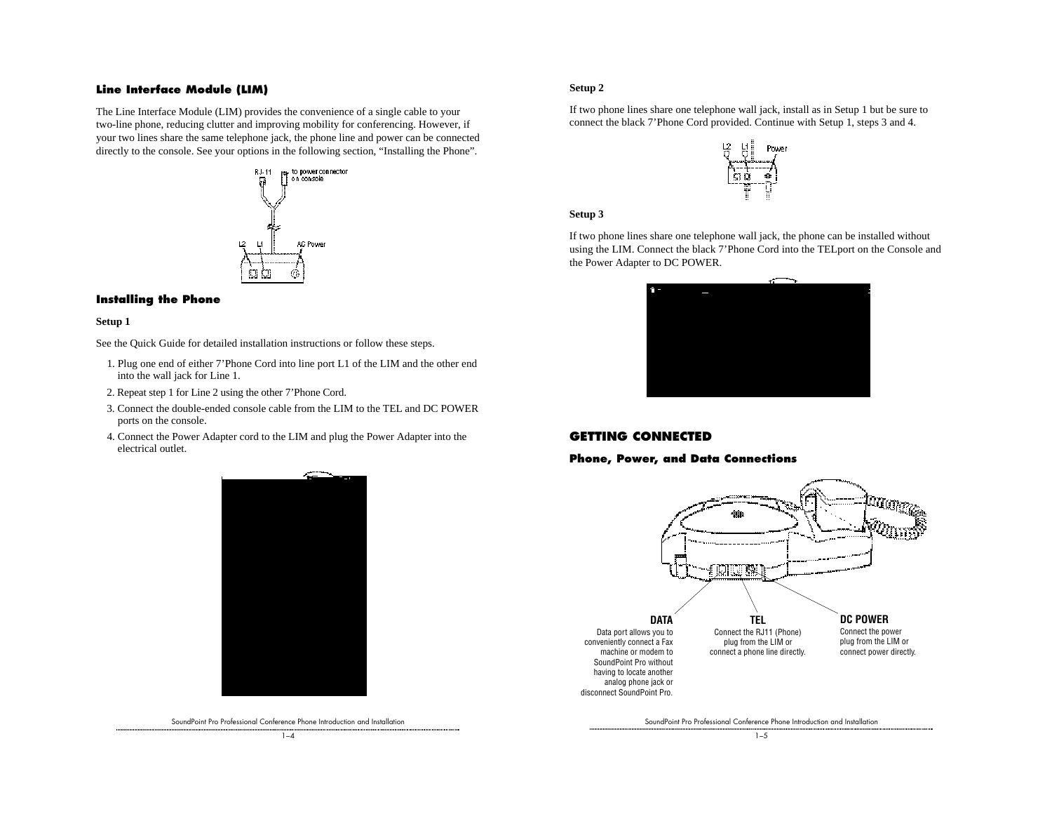#### **Line Interface Module (LIM)**

The Line Interface Module (LIM) provides the convenience of a single cable to your two-line phone, reducing clutter and improving mobility for conferencing. However, if your two lines share the same telephone jack, the phone line and power can be connected directly to the console. See your options in the following section, "Installing the Phone".



#### **Installing the Phone**

#### **Setup 1**

See the Quick Guide for detailed installation instructions or follow these steps.

- 1. Plug one end of either 7'Phone Cord into line port L1 of the LIM and the other end into the wall jack for Line 1.
- 2. Repeat step 1 for Line 2 using the other 7'Phone Cord.
- 3. Connect the double-ended console cable from the LIM to the TEL and DC POWER ports on the console.
- 4. Connect the Power Adapter cord to the LIM and plug the Power Adapter into the electrical outlet.



SoundPoint Pro Professional Conference Phone Introduction and Installation  $1 - A$ 

#### **Setup 2**

If two phone lines share one telephone wall jack, install as in Setup 1 but be sure to connect the black 7'Phone Cord provided. Continue with Setup 1, steps 3 and 4.



#### **Setup 3**

If two phone lines share one telephone wall jack, the phone can be installed without using the LIM. Connect the black 7'Phone Cord into the TELport on the Console and the Power Adapter to DC POWER.



# **GETTING CONNECTED**

**Phone, Power, and Data Connections**



SoundPoint Pro Professional Conference Phone Introduction and Installation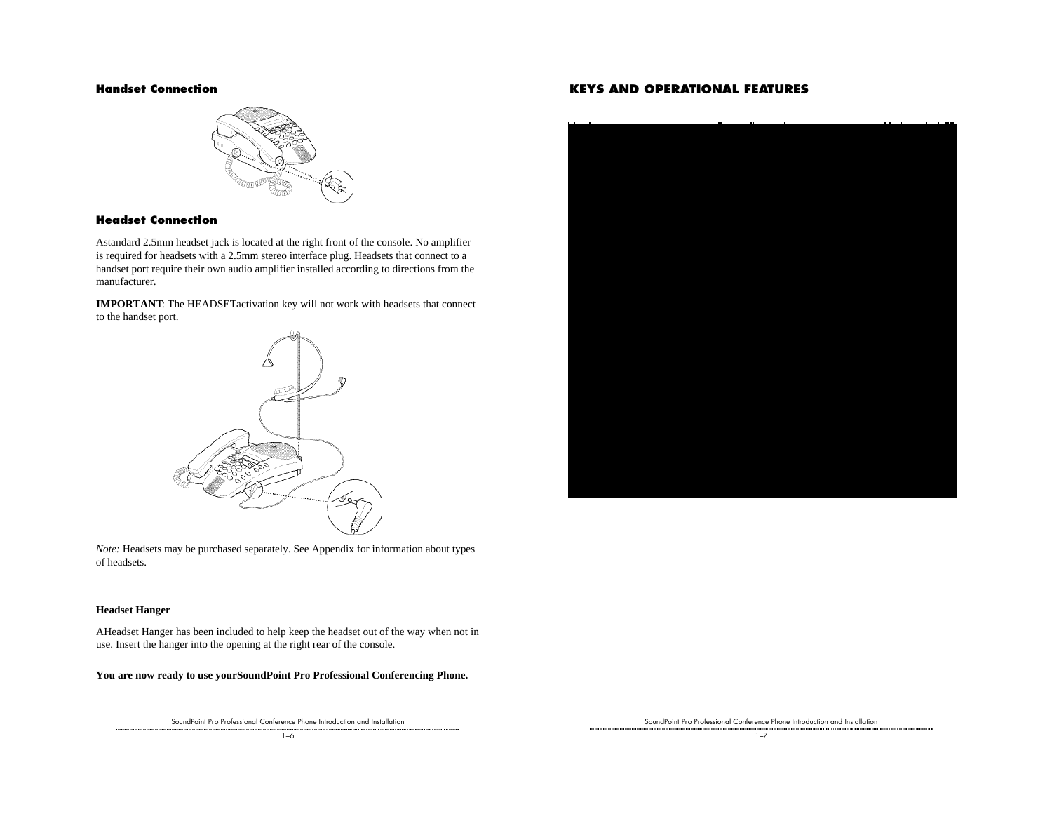

#### **Headset Connection**

Astandard 2.5mm headset jack is located at the right front of the console. No amplifier is required for headsets with a 2.5mm stereo interface plug. Headsets that connect to a handset port require their own audio amplifier installed according to directions from the manufacturer.

**IMPORTANT**: The HEADSETactivation key will not work with headsets that connect to the handset port.



*Note:* Headsets may be purchased separately. See Appendix for information about types of headsets.

#### **Headset Hanger**

AHeadset Hanger has been included to help keep the headset out of the way when not in use. Insert the hanger into the opening at the right rear of the console.

#### **You are now ready to use yourSoundPoint Pro Professional Conferencing Phone.**

SoundPoint Pro Professional Conference Phone Introduction and Installation

## **Handset Connection KEYS AND OPERATIONAL FEATURES**



SoundPoint Pro Professional Conference Phone Introduction and Installation

 $1 - 7$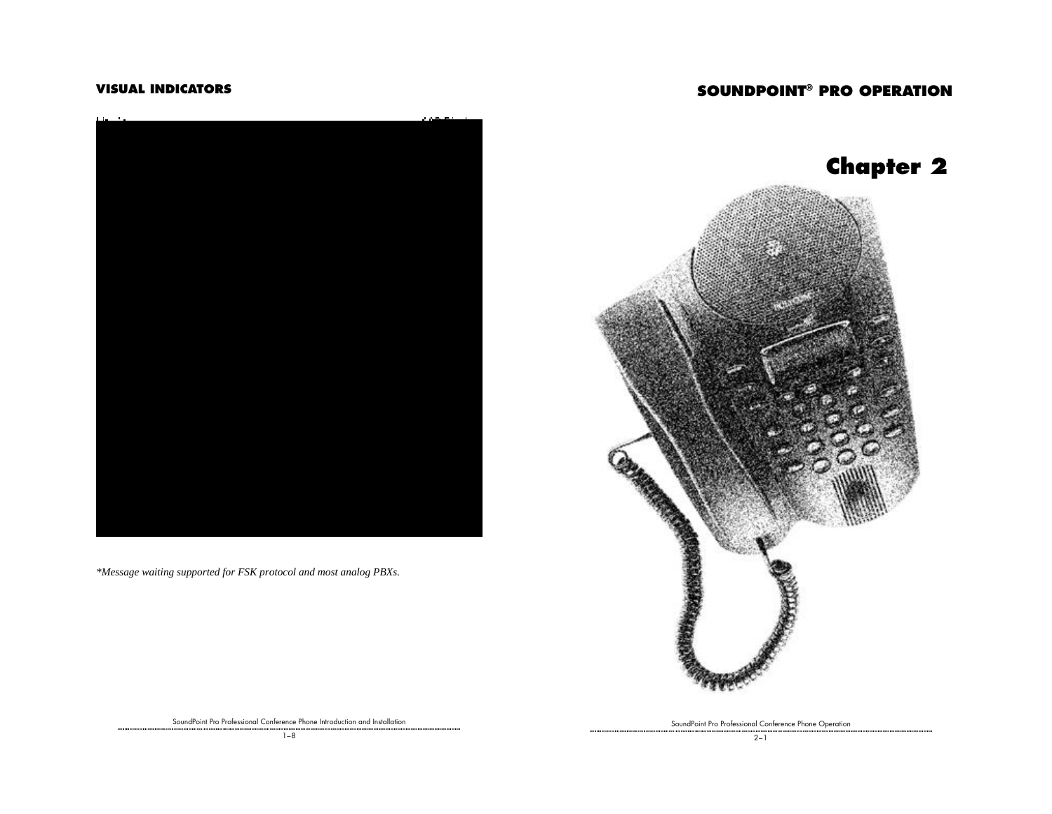# **SOUNDPOINT® PRO OPERATION**

## **VISUAL INDICATORS**



*\*Message waiting supported for FSK protocol and most analog PBXs.*





SoundPoint Pro Professional Conference Phone Introduction and Installation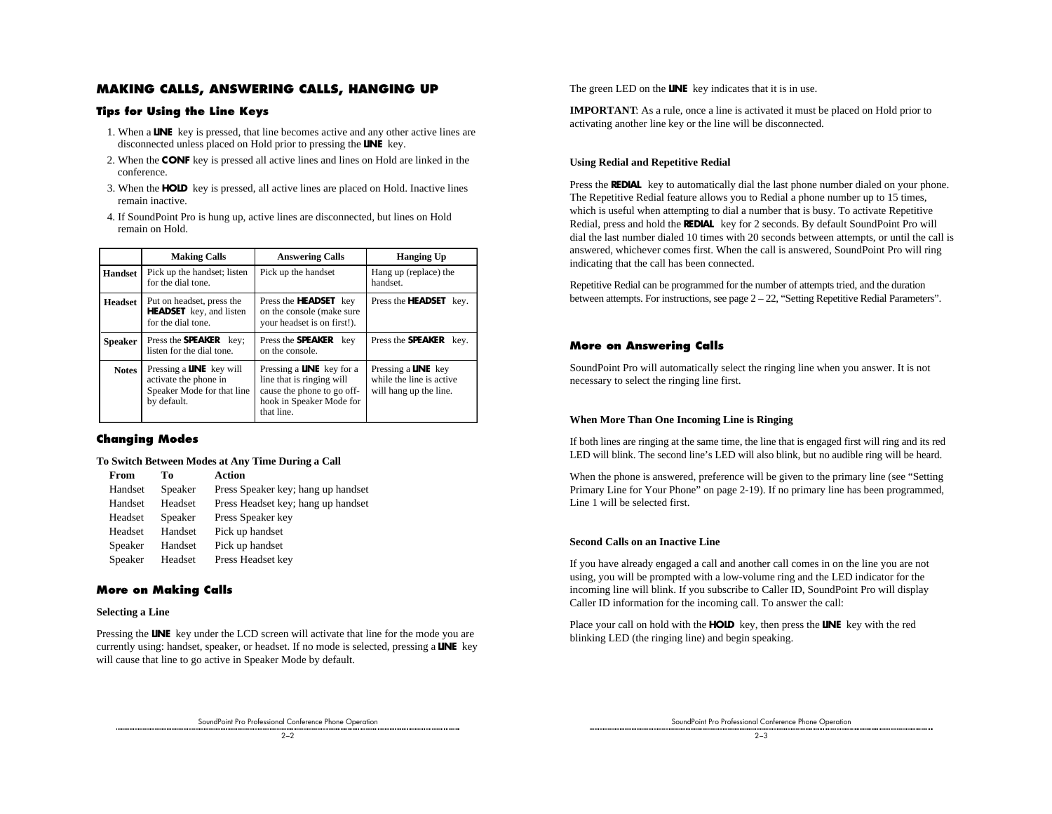### **MAKING CALLS, ANSWERING CALLS, HANGING UP**

#### **Tips for Using the Line Keys**

- 1. When a **LINE** key is pressed, that line becomes active and any other active lines are disconnected unless placed on Hold prior to pressing the **LINE** key.
- 2. When the **CONF** key is pressed all active lines and lines on Hold are linked in the conference.
- 3. When the **HOLD** key is pressed, all active lines are placed on Hold. Inactive lines remain inactive.
- 4. If SoundPoint Pro is hung up, active lines are disconnected, but lines on Hold remain on Hold.

|                | <b>Making Calls</b>                                                                                   | <b>Answering Calls</b>                                                                                                                | <b>Hanging Up</b>                                                                |
|----------------|-------------------------------------------------------------------------------------------------------|---------------------------------------------------------------------------------------------------------------------------------------|----------------------------------------------------------------------------------|
| <b>Handset</b> | Pick up the handset; listen<br>for the dial tone.                                                     | Pick up the handset                                                                                                                   | Hang up (replace) the<br>handset.                                                |
| <b>Headset</b> | Put on headset, press the<br><b>HEADSET</b> key, and listen<br>for the dial tone.                     | Press the <b>HEADSET</b> key<br>on the console (make sure<br>your headset is on first!).                                              | Press the <b>HEADSET</b> key.                                                    |
| <b>Speaker</b> | Press the <b>SPEAKER</b> key;<br>listen for the dial tone.                                            | Press the <b>SPEAKER</b><br>kev<br>on the console.                                                                                    | Press the <b>SPEAKER</b><br>key.                                                 |
| <b>Notes</b>   | Pressing a <b>LINE</b> key will<br>activate the phone in<br>Speaker Mode for that line<br>by default. | Pressing a <b>LINE</b> key for a<br>line that is ringing will<br>cause the phone to go off-<br>hook in Speaker Mode for<br>that line. | Pressing a <b>LINE</b> key<br>while the line is active<br>will hang up the line. |

#### **Changing Modes**

#### **To Switch Between Modes at Any Time During a Call**

| From    | Tо      | Action                             |
|---------|---------|------------------------------------|
| Handset | Speaker | Press Speaker key; hang up handset |
| Handset | Headset | Press Headset key; hang up handset |
| Headset | Speaker | Press Speaker key                  |
| Headset | Handset | Pick up handset                    |
| Speaker | Handset | Pick up handset                    |
| Speaker | Headset | Press Headset key                  |

#### **More on Making Calls**

#### **Selecting a Line**

Pressing the **LINE** key under the LCD screen will activate that line for the mode you are currently using: handset, speaker, or headset. If no mode is selected, pressing a **LINE** key will cause that line to go active in Speaker Mode by default.

The green LED on the **LINE** key indicates that it is in use.

**IMPORTANT**: As a rule, once a line is activated it must be placed on Hold prior to activating another line key or the line will be disconnected.

#### **Using Redial and Repetitive Redial**

Press the **REDIAL** key to automatically dial the last phone number dialed on your phone. The Repetitive Redial feature allows you to Redial a phone number up to 15 times, which is useful when attempting to dial a number that is busy. To activate Repetitive Redial, press and hold the **REDIAL** key for 2 seconds. By default SoundPoint Pro will dial the last number dialed 10 times with 20 seconds between attempts, or until the call is answered, whichever comes first. When the call is answered, SoundPoint Pro will ring indicating that the call has been connected.

Repetitive Redial can be programmed for the number of attempts tried, and the duration between attempts. For instructions, see page 2 – 22, "Setting Repetitive Redial Parameters".

### **More on Answering Calls**

SoundPoint Pro will automatically select the ringing line when you answer. It is not necessary to select the ringing line first.

#### **When More Than One Incoming Line is Ringing**

If both lines are ringing at the same time, the line that is engaged first will ring and its red LED will blink. The second line's LED will also blink, but no audible ring will be heard.

When the phone is answered, preference will be given to the primary line (see "Setting Primary Line for Your Phone" on page 2-19). If no primary line has been programmed, Line 1 will be selected first.

#### **Second Calls on an Inactive Line**

If you have already engaged a call and another call comes in on the line you are not using, you will be prompted with a low-volume ring and the LED indicator for the incoming line will blink. If you subscribe to Caller ID, SoundPoint Pro will display Caller ID information for the incoming call. To answer the call:

Place your call on hold with the **HOLD** key, then press the **LINE** key with the red blinking LED (the ringing line) and begin speaking.

SoundPoint Pro Professional Conference Phone Operation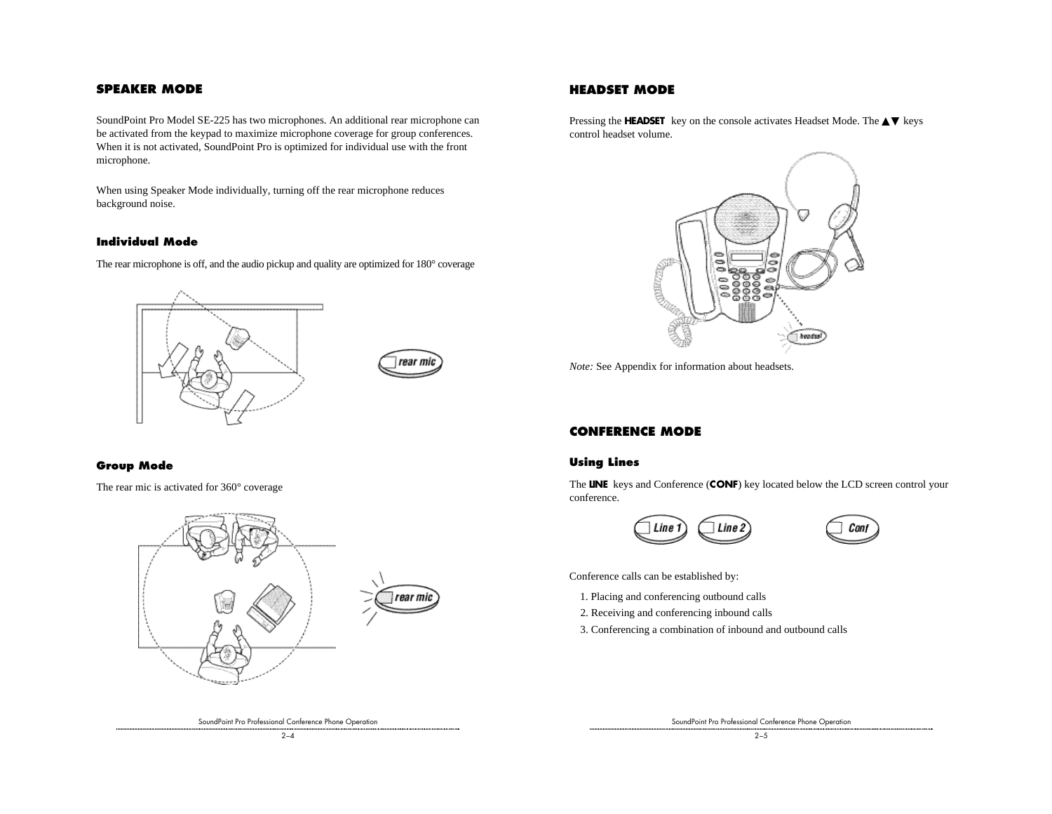### **SPEAKER MODE**

SoundPoint Pro Model SE-225 has two microphones. An additional rear microphone can be activated from the keypad to maximize microphone coverage for group conferences. When it is not activated, SoundPoint Pro is optimized for individual use with the front microphone.

When using Speaker Mode individually, turning off the rear microphone reduces background noise.

#### **Individual Mode**

The rear microphone is off, and the audio pickup and quality are optimized for 180° coverage





#### **Group Mode**

The rear mic is activated for 360° coverage



**HEADSET MODE**

Pressing the **HEADSET** key on the console activates Headset Mode. The ▲▼ keys control headset volume.



*Note:* See Appendix for information about headsets.

## **CONFERENCE MODE**

#### **Using Lines**

The **LINE** keys and Conference (**CONF**) key located below the LCD screen control your conference.





Conference calls can be established by:

- 1. Placing and conferencing outbound calls
- 2. Receiving and conferencing inbound calls
- 3. Conferencing a combination of inbound and outbound calls

SoundPoint Pro Professional Conference Phone Operation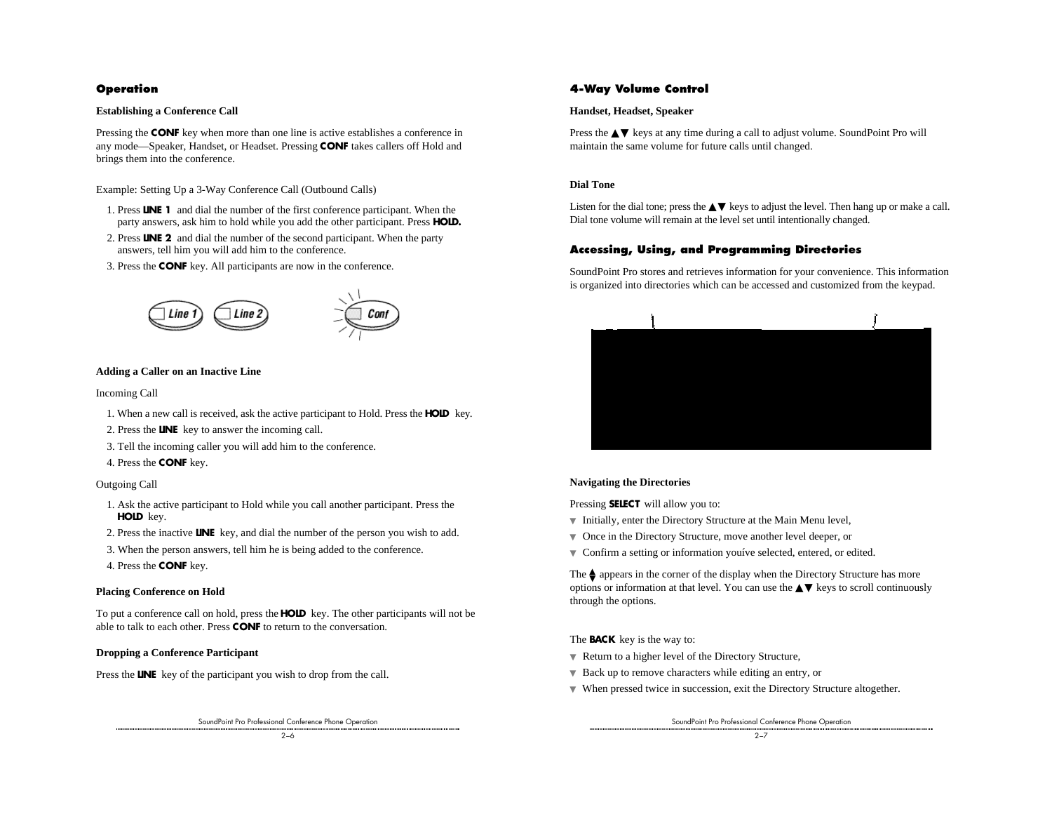#### **Operation**

#### **Establishing a Conference Call**

Pressing the **CONF** key when more than one line is active establishes a conference in any mode—Speaker, Handset, or Headset. Pressing **CONF** takes callers off Hold and brings them into the conference.

Example: Setting Up a 3-Way Conference Call (Outbound Calls)

- 1. Press **LINE 1** and dial the number of the first conference participant. When the party answers, ask him to hold while you add the other participant. Press **HOLD.**
- 2. Press **LINE 2** and dial the number of the second participant. When the party answers, tell him you will add him to the conference.
- 3. Press the **CONF** key. All participants are now in the conference.



#### **Adding a Caller on an Inactive Line**

#### Incoming Call

- 1. When a new call is received, ask the active participant to Hold. Press the **HOLD** key.
- 2. Press the **LINE** key to answer the incoming call.
- 3. Tell the incoming caller you will add him to the conference.
- 4. Press the **CONF** key.

#### Outgoing Call

- 1. Ask the active participant to Hold while you call another participant. Press the **HOLD** key.
- 2. Press the inactive **LINE** key, and dial the number of the person you wish to add.
- 3. When the person answers, tell him he is being added to the conference.
- 4. Press the **CONF** key.

#### **Placing Conference on Hold**

To put a conference call on hold, press the **HOLD** key. The other participants will not be able to talk to each other. Press **CONF** to return to the conversation.

#### **Dropping a Conference Participant**

Press the **LINE** key of the participant you wish to drop from the call.

SoundPoint Pro Professional Conference Phone Operation

#### **4-Way Volume Control**

#### **Handset, Headset, Speaker**

Press the **▲▼** keys at any time during a call to adjust volume. SoundPoint Pro will maintain the same volume for future calls until changed.

#### **Dial Tone**

Listen for the dial tone; press the  $\triangle \blacktriangledown$  keys to adjust the level. Then hang up or make a call. Dial tone volume will remain at the level set until intentionally changed.

#### **Accessing, Using, and Programming Directories**

SoundPoint Pro stores and retrieves information for your convenience. This information is organized into directories which can be accessed and customized from the keypad.



#### **Navigating the Directories**

Pressing **SELECT** will allow you to:

- ▼ Initially, enter the Directory Structure at the Main Menu level,
- ▼ Once in the Directory Structure, move another level deeper, or
- ▼ Confirm a setting or information youíve selected, entered, or edited.

The  $\spadesuit$  appears in the corner of the display when the Directory Structure has more options or information at that level. You can use the  $\blacktriangle\blacktriangledown$  keys to scroll continuously through the options.

The **BACK** key is the way to:

- ▼ Return to a higher level of the Directory Structure,
- ▼ Back up to remove characters while editing an entry, or
- ▼ When pressed twice in succession, exit the Directory Structure altogether.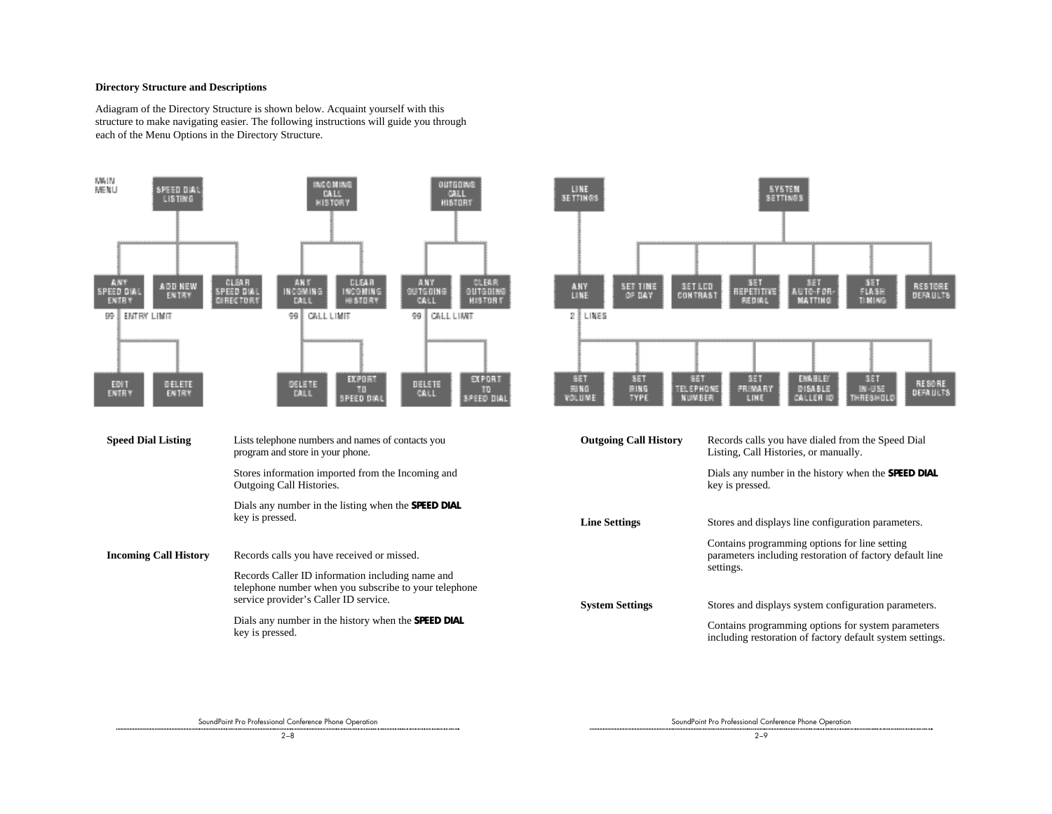#### **Directory Structure and Descriptions**

Adiagram of the Directory Structure is shown below. Acquaint yourself with this structure to make navigating easier. The following instructions will guide you through each of the Menu Options in the Directory Structure.





| <b>Outgoing Call History</b> | Records calls you have dialed from the Speed Dial<br>Listing, Call Histories, or manually.                             |
|------------------------------|------------------------------------------------------------------------------------------------------------------------|
|                              | Dials any number in the history when the <b>SPEED DIAL</b><br>key is pressed.                                          |
| <b>Line Settings</b>         | Stores and displays line configuration parameters.                                                                     |
|                              | Contains programming options for line setting<br>parameters including restoration of factory default line<br>settings. |
|                              |                                                                                                                        |
| <b>System Settings</b>       | Stores and displays system configuration parameters.                                                                   |
|                              | Contains programming options for system parameters<br>including restoration of factory default system settings.        |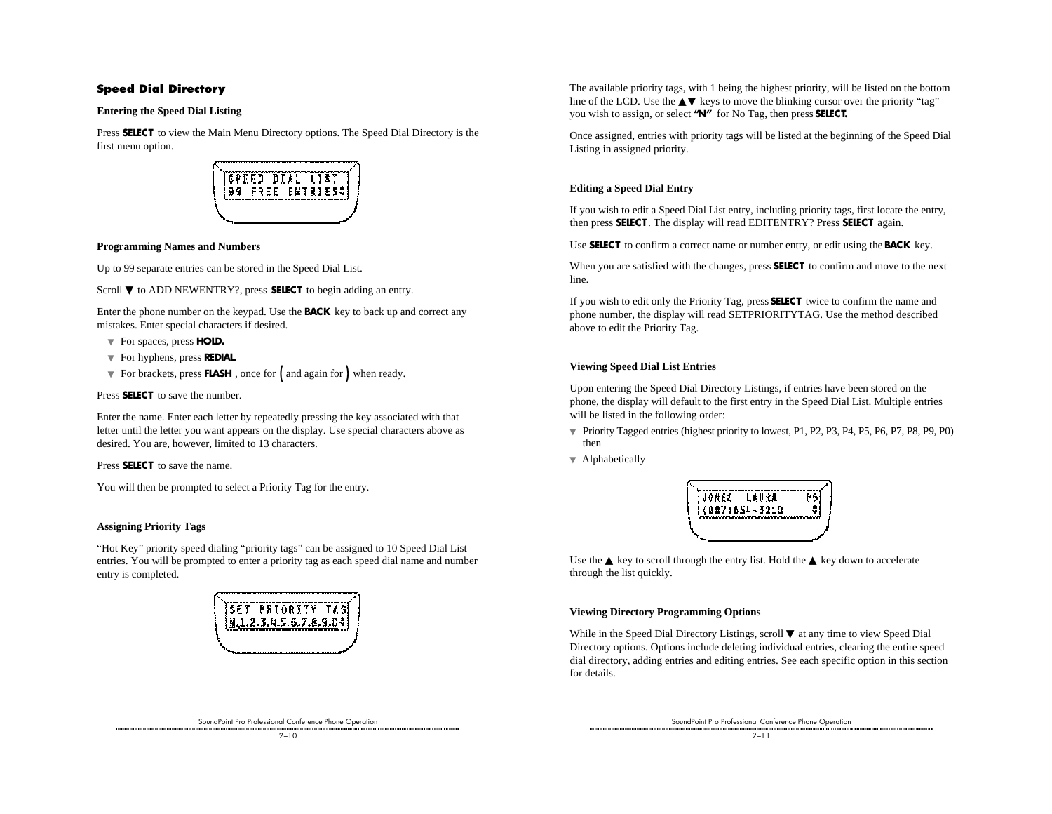### **Speed Dial Directory**

#### **Entering the Speed Dial Listing**

Press **SELECT** to view the Main Menu Directory options. The Speed Dial Directory is the first menu option.



#### **Programming Names and Numbers**

Up to 99 separate entries can be stored in the Speed Dial List.

Scroll ▼ to ADD NEWENTRY?, press **SELECT** to begin adding an entry.

Enter the phone number on the keypad. Use the **BACK** key to back up and correct any mistakes. Enter special characters if desired.

- ▼ For spaces, press **HOLD.**
- ▼ For hyphens, press **REDIAL.**
- ▼ For brackets, press **FLASH** , once for ( and again for ) when ready.

#### Press **SELECT** to save the number.

Enter the name. Enter each letter by repeatedly pressing the key associated with that letter until the letter you want appears on the display. Use special characters above as desired. You are, however, limited to 13 characters.

Press **SELECT** to save the name.

You will then be prompted to select a Priority Tag for the entry.

#### **Assigning Priority Tags**

"Hot Key" priority speed dialing "priority tags" can be assigned to 10 Speed Dial List entries. You will be prompted to enter a priority tag as each speed dial name and number entry is completed.



SoundPoint Pro Professional Conference Phone Operation

The available priority tags, with 1 being the highest priority, will be listed on the bottom line of the LCD. Use the  $\triangle \blacktriangledown$  keys to move the blinking cursor over the priority "tag" you wish to assign, or select **"N"** for No Tag, then press **SELECT.**

Once assigned, entries with priority tags will be listed at the beginning of the Speed Dial Listing in assigned priority.

#### **Editing a Speed Dial Entry**

If you wish to edit a Speed Dial List entry, including priority tags, first locate the entry, then press **SELECT** . The display will read EDITENTRY? Press **SELECT** again.

Use **SELECT** to confirm a correct name or number entry, or edit using the **BACK** key.

When you are satisfied with the changes, press **SELECT** to confirm and move to the next line.

If you wish to edit only the Priority Tag, press **SELECT** twice to confirm the name and phone number, the display will read SETPRIORITYTAG. Use the method described above to edit the Priority Tag.

#### **Viewing Speed Dial List Entries**

Upon entering the Speed Dial Directory Listings, if entries have been stored on the phone, the display will default to the first entry in the Speed Dial List. Multiple entries will be listed in the following order:

- ▼ Priority Tagged entries (highest priority to lowest, P1, P2, P3, P4, P5, P6, P7, P8, P9, P0) then
- ▼ Alphabetically



Use the  $\triangle$  key to scroll through the entry list. Hold the  $\triangle$  key down to accelerate through the list quickly.

#### **Viewing Directory Programming Options**

While in the Speed Dial Directory Listings, scroll ▼ at any time to view Speed Dial Directory options. Options include deleting individual entries, clearing the entire speed dial directory, adding entries and editing entries. See each specific option in this section for details.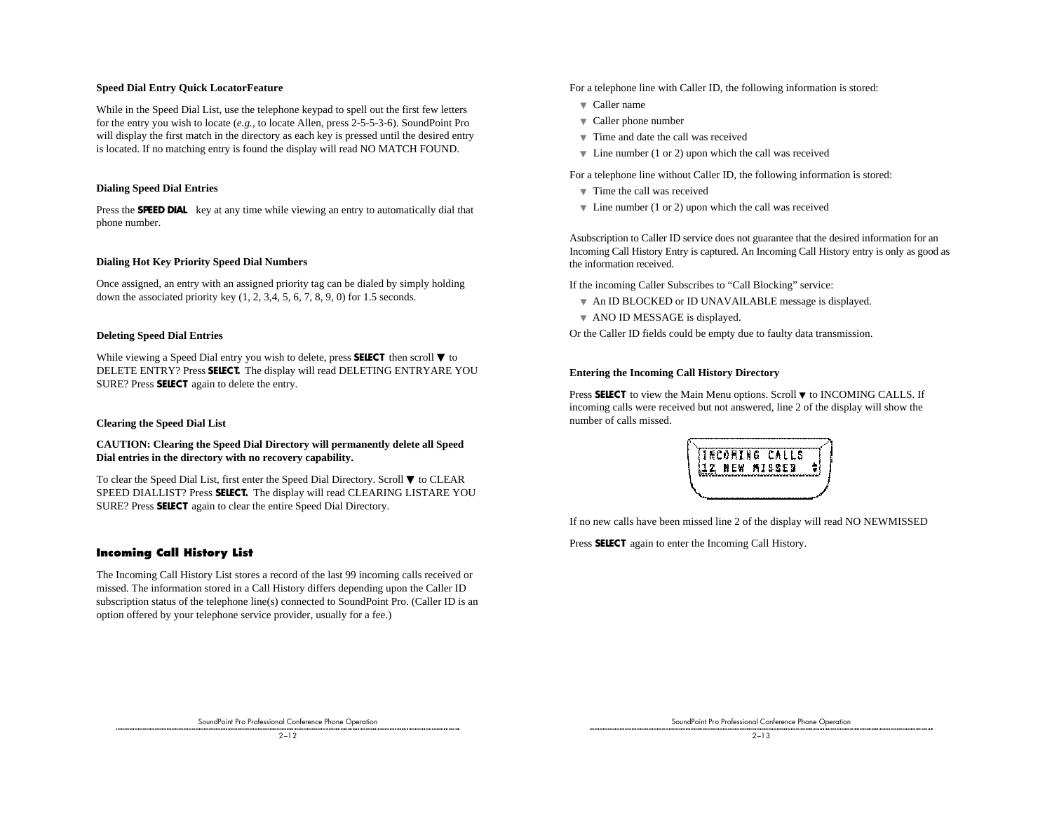#### **Speed Dial Entry Quick LocatorFeature**

While in the Speed Dial List, use the telephone keypad to spell out the first few letters for the entry you wish to locate (*e.g.,* to locate Allen, press 2-5-5-3-6). SoundPoint Pro will display the first match in the directory as each key is pressed until the desired entry is located. If no matching entry is found the display will read NO MATCH FOUND.

#### **Dialing Speed Dial Entries**

Press the **SPEED DIAL** key at any time while viewing an entry to automatically dial that phone number.

#### **Dialing Hot Key Priority Speed Dial Numbers**

Once assigned, an entry with an assigned priority tag can be dialed by simply holding down the associated priority key  $(1, 2, 3, 4, 5, 6, 7, 8, 9, 0)$  for 1.5 seconds.

#### **Deleting Speed Dial Entries**

While viewing a Speed Dial entry you wish to delete, press **SELECT** then scroll ▼ to DELETE ENTRY? Press **SELECT.** The display will read DELETING ENTRYARE YOU SURE? Press **SELECT** again to delete the entry.

#### **Clearing the Speed Dial List**

#### **CAUTION: Clearing the Speed Dial Directory will permanently delete all Speed Dial entries in the directory with no recovery capability.**

To clear the Speed Dial List, first enter the Speed Dial Directory. Scroll ▼ to CLEAR SPEED DIALLIST? Press **SELECT.** The display will read CLEARING LISTARE YOU SURE? Press **SELECT** again to clear the entire Speed Dial Directory.

#### **Incoming Call History List**

The Incoming Call History List stores a record of the last 99 incoming calls received or missed. The information stored in a Call History differs depending upon the Caller ID subscription status of the telephone line(s) connected to SoundPoint Pro. (Caller ID is an option offered by your telephone service provider, usually for a fee.)

For a telephone line with Caller ID, the following information is stored:

- ▼ Caller name
- ▼ Caller phone number
- ▼ Time and date the call was received
- $\blacktriangledown$  Line number (1 or 2) upon which the call was received

For a telephone line without Caller ID, the following information is stored:

- ▼ Time the call was received
- $\blacktriangledown$  Line number (1 or 2) upon which the call was received

Asubscription to Caller ID service does not guarantee that the desired information for an Incoming Call History Entry is captured. An Incoming Call History entry is only as good as the information received.

If the incoming Caller Subscribes to "Call Blocking" service:

- ▼ An ID BLOCKED or ID UNAVAILABLE message is displayed.
- ▼ ANO ID MESSAGE is displayed.

Or the Caller ID fields could be empty due to faulty data transmission.

#### **Entering the Incoming Call History Directory**

Press SELECT to view the Main Menu options. Scroll ▼ to INCOMING CALLS. If incoming calls were received but not answered, line 2 of the display will show the number of calls missed.



If no new calls have been missed line 2 of the display will read NO NEWMISSED

Press **SELECT** again to enter the Incoming Call History.

SoundPoint Pro Professional Conference Phone Operation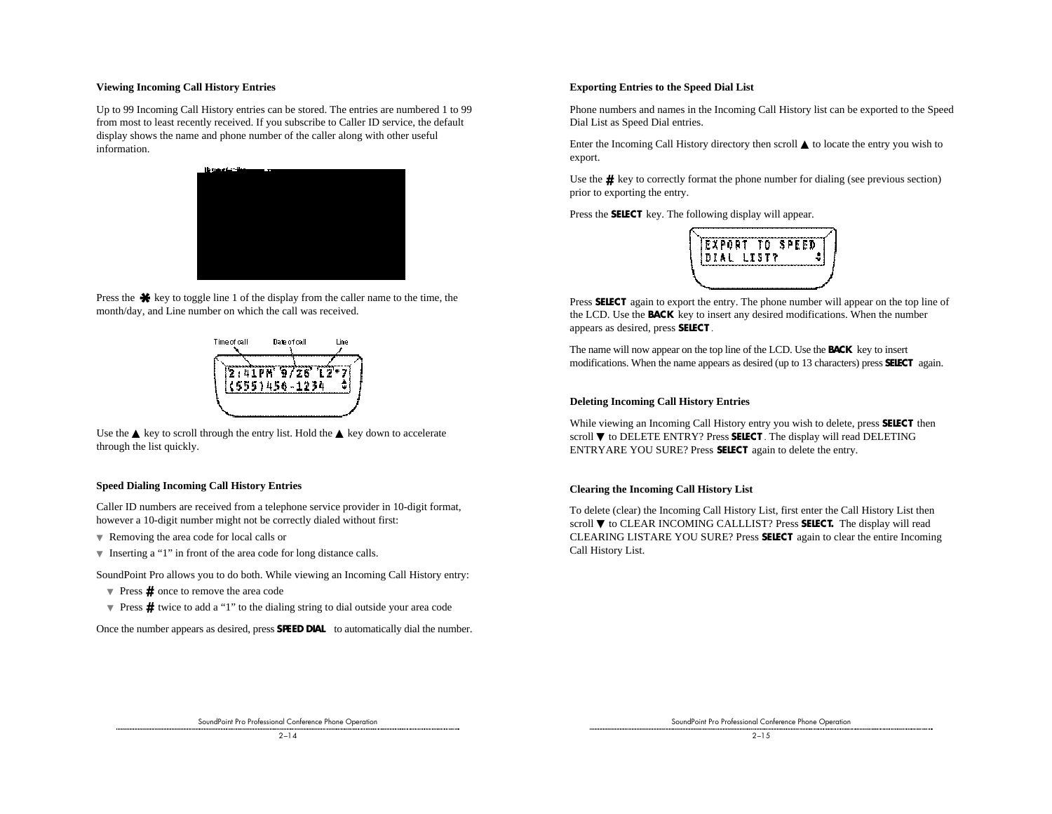#### **Viewing Incoming Call History Entries**

Up to 99 Incoming Call History entries can be stored. The entries are numbered 1 to 99 from most to least recently received. If you subscribe to Caller ID service, the default display shows the name and phone number of the caller along with other useful information.



Press the  $\ast$  key to toggle line 1 of the display from the caller name to the time, the month/day, and Line number on which the call was received.



Use the  $\triangle$  key to scroll through the entry list. Hold the  $\triangle$  key down to accelerate through the list quickly.

#### **Speed Dialing Incoming Call History Entries**

Caller ID numbers are received from a telephone service provider in 10-digit format, however a 10-digit number might not be correctly dialed without first:

- ▼ Removing the area code for local calls or
- ▼ Inserting a "1" in front of the area code for long distance calls.

SoundPoint Pro allows you to do both. While viewing an Incoming Call History entry:

- ▼ Press **#** once to remove the area code
- ▼ Press **#** twice to add a "1" to the dialing string to dial outside your area code

Once the number appears as desired, press **SPEED DIAL** to automatically dial the number.

#### **Exporting Entries to the Speed Dial List**

Phone numbers and names in the Incoming Call History list can be exported to the Speed Dial List as Speed Dial entries.

Enter the Incoming Call History directory then scroll ▲ to locate the entry you wish to export.

Use the  $\#$  key to correctly format the phone number for dialing (see previous section) prior to exporting the entry.

Press the **SELECT** key. The following display will appear.



Press **SELECT** again to export the entry. The phone number will appear on the top line of the LCD. Use the **BACK** key to insert any desired modifications. When the number appears as desired, press **SELECT** .

The name will now appear on the top line of the LCD. Use the **BACK** key to insert modifications. When the name appears as desired (up to 13 characters) press **SELECT** again.

#### **Deleting Incoming Call History Entries**

While viewing an Incoming Call History entry you wish to delete, press **SELECT** then scroll ▼ to DELETE ENTRY? Press **SELECT**. The display will read DELETING ENTRYARE YOU SURE? Press **SELECT** again to delete the entry.

#### **Clearing the Incoming Call History List**

To delete (clear) the Incoming Call History List, first enter the Call History List then scroll ▼ to CLEAR INCOMING CALLLIST? Press SELECT. The display will read CLEARING LISTARE YOU SURE? Press **SELECT** again to clear the entire Incoming Call History List.

SoundPoint Pro Professional Conference Phone Operation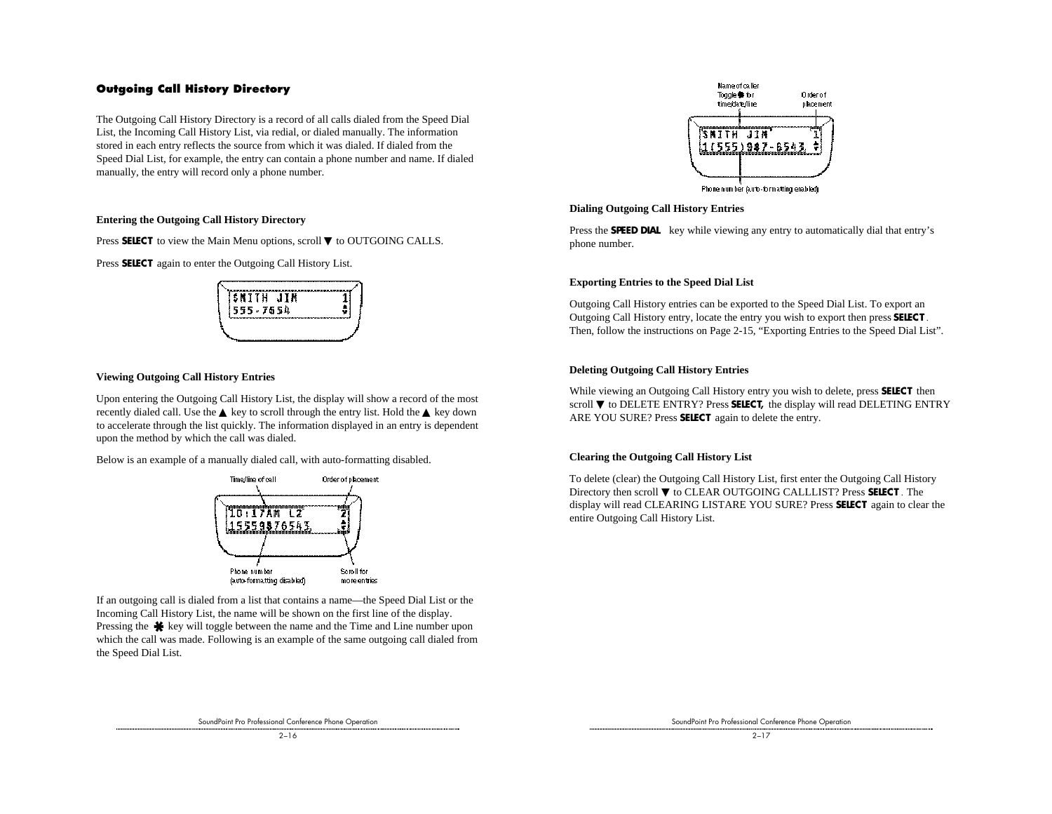#### **Outgoing Call History Directory**

The Outgoing Call History Directory is a record of all calls dialed from the Speed Dial List, the Incoming Call History List, via redial, or dialed manually. The information stored in each entry reflects the source from which it was dialed. If dialed from the Speed Dial List, for example, the entry can contain a phone number and name. If dialed manually, the entry will record only a phone number.

#### **Entering the Outgoing Call History Directory**

Press SELECT to view the Main Menu options, scroll ▼ to OUTGOING CALLS.

Press **SELECT** again to enter the Outgoing Call History List.



#### **Viewing Outgoing Call History Entries**

Upon entering the Outgoing Call History List, the display will show a record of the most recently dialed call. Use the  $\triangle$  key to scroll through the entry list. Hold the  $\triangle$  key down to accelerate through the list quickly. The information displayed in an entry is dependent upon the method by which the call was dialed.

Below is an example of a manually dialed call, with auto-formatting disabled.



If an outgoing call is dialed from a list that contains a name—the Speed Dial List or the Incoming Call History List, the name will be shown on the first line of the display. Pressing the  $\clubsuit$  key will toggle between the name and the Time and Line number upon which the call was made. Following is an example of the same outgoing call dialed from the Speed Dial List.



#### **Dialing Outgoing Call History Entries**

Press the **SPEED DIAL** key while viewing any entry to automatically dial that entry's phone number.

#### **Exporting Entries to the Speed Dial List**

Outgoing Call History entries can be exported to the Speed Dial List. To export an Outgoing Call History entry, locate the entry you wish to export then press **SELECT** . Then, follow the instructions on Page 2-15, "Exporting Entries to the Speed Dial List".

#### **Deleting Outgoing Call History Entries**

While viewing an Outgoing Call History entry you wish to delete, press **SELECT** then scroll ▼ to DELETE ENTRY? Press **SELECT**, the display will read DELETING ENTRY ARE YOU SURE? Press **SELECT** again to delete the entry.

#### **Clearing the Outgoing Call History List**

To delete (clear) the Outgoing Call History List, first enter the Outgoing Call History Directory then scroll ▼ to CLEAR OUTGOING CALLLIST? Press **SELECT** . The display will read CLEARING LISTARE YOU SURE? Press **SELECT** again to clear the entire Outgoing Call History List.

SoundPoint Pro Professional Conference Phone Operation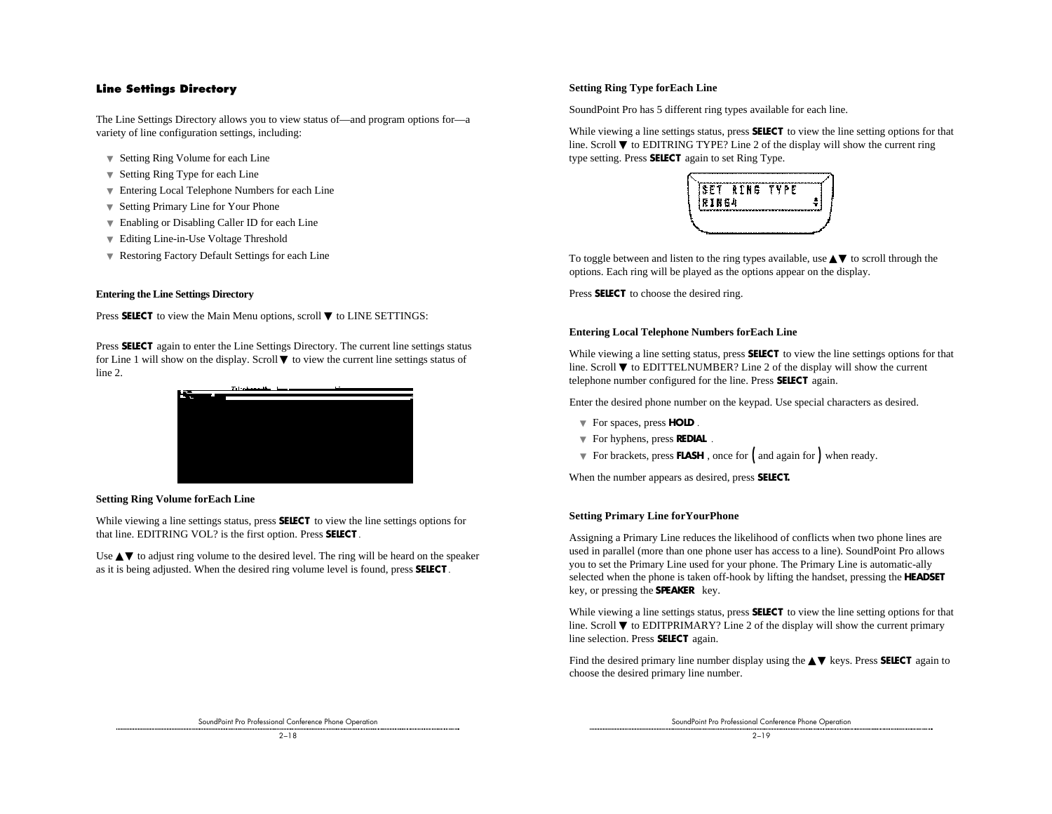#### **Line Settings Directory**

The Line Settings Directory allows you to view status of—and program options for—a variety of line configuration settings, including:

- ▼ Setting Ring Volume for each Line
- ▼ Setting Ring Type for each Line
- ▼ Entering Local Telephone Numbers for each Line
- ▼ Setting Primary Line for Your Phone
- ▼ Enabling or Disabling Caller ID for each Line
- ▼ Editing Line-in-Use Voltage Threshold
- ▼ Restoring Factory Default Settings for each Line

#### **Entering the Line Settings Directory**

Press **SELECT** to view the Main Menu options, scroll ▼ to LINE SETTINGS:

Press **SELECT** again to enter the Line Settings Directory. The current line settings status for Line 1 will show on the display. Scroll ▼ to view the current line settings status of line 2.



**Setting Ring Volume forEach Line**

While viewing a line settings status, press **SELECT** to view the line settings options for that line. EDITRING VOL? is the first option. Press **SELECT** .

Use  $\triangle \blacktriangledown$  to adjust ring volume to the desired level. The ring will be heard on the speaker as it is being adjusted. When the desired ring volume level is found, press **SELECT** .

#### **Setting Ring Type forEach Line**

SoundPoint Pro has 5 different ring types available for each line.

While viewing a line settings status, press **SELECT** to view the line setting options for that line. Scroll  $\nabla$  to EDITRING TYPE? Line 2 of the display will show the current ring type setting. Press **SELECT** again to set Ring Type.



To toggle between and listen to the ring types available, use **▲▼** to scroll through the options. Each ring will be played as the options appear on the display.

Press **SELECT** to choose the desired ring.

#### **Entering Local Telephone Numbers forEach Line**

While viewing a line setting status, press **SELECT** to view the line settings options for that line. Scroll ▼ to EDITTELNUMBER? Line 2 of the display will show the current telephone number configured for the line. Press **SELECT** again.

Enter the desired phone number on the keypad. Use special characters as desired.

- ▼ For spaces, press **HOLD** .
- ▼ For hyphens, press **REDIAL** .
- ▼ For brackets, press **FLASH** , once for ( and again for ) when ready.

When the number appears as desired, press **SELECT.**

#### **Setting Primary Line forYourPhone**

Assigning a Primary Line reduces the likelihood of conflicts when two phone lines are used in parallel (more than one phone user has access to a line). SoundPoint Pro allows you to set the Primary Line used for your phone. The Primary Line is automatic-ally selected when the phone is taken off-hook by lifting the handset, pressing the **HEADSET** key, or pressing the **SPEAKER** key.

While viewing a line settings status, press **SELECT** to view the line setting options for that line. Scroll  $\nabla$  to EDITPRIMARY? Line 2 of the display will show the current primary line selection. Press **SELECT** again.

Find the desired primary line number display using the ▲▼ keys. Press **SELECT** again to choose the desired primary line number.

SoundPoint Pro Professional Conference Phone Operation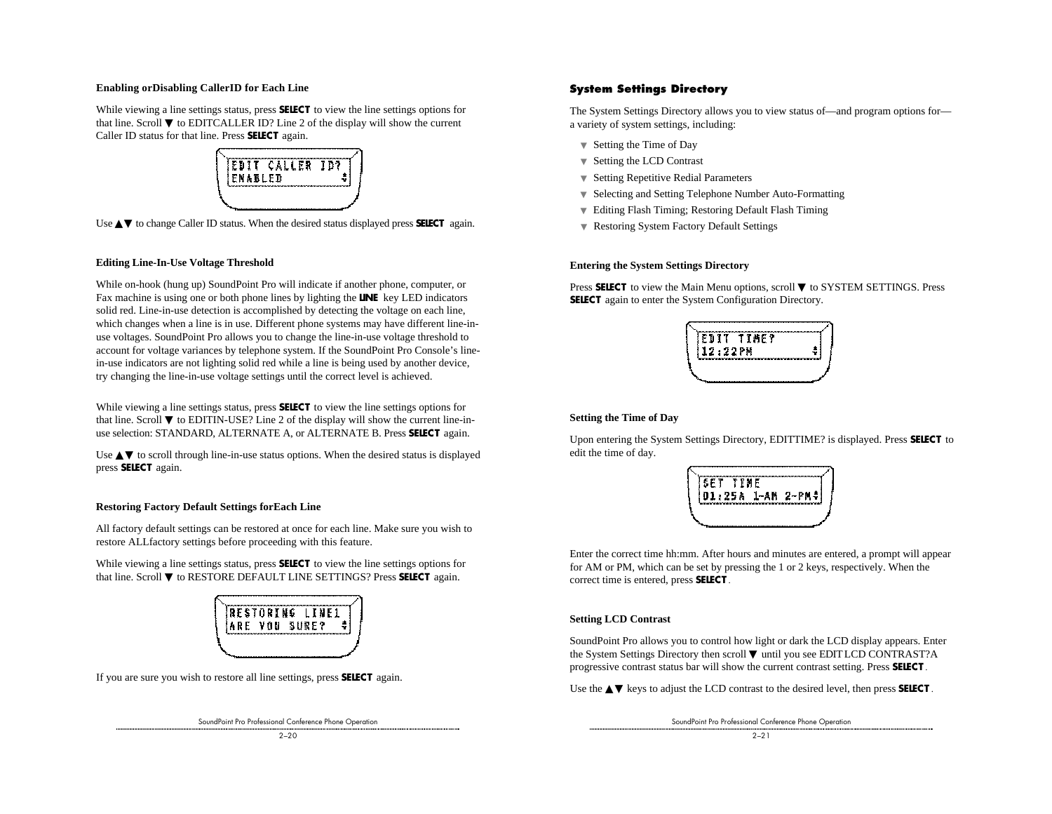#### **Enabling orDisabling CallerID for Each Line**

While viewing a line settings status, press **SELECT** to view the line settings options for that line. Scroll  $\nabla$  to EDITCALLER ID? Line 2 of the display will show the current Caller ID status for that line. Press **SELECT** again.



Use ▲▼ to change Caller ID status. When the desired status displayed press SELECT again.

#### **Editing Line-In-Use Voltage Threshold**

While on-hook (hung up) SoundPoint Pro will indicate if another phone, computer, or Fax machine is using one or both phone lines by lighting the **LINE** key LED indicators solid red. Line-in-use detection is accomplished by detecting the voltage on each line, which changes when a line is in use. Different phone systems may have different line-inuse voltages. SoundPoint Pro allows you to change the line-in-use voltage threshold to account for voltage variances by telephone system. If the SoundPoint Pro Console's linein-use indicators are not lighting solid red while a line is being used by another device, try changing the line-in-use voltage settings until the correct level is achieved.

While viewing a line settings status, press **SELECT** to view the line settings options for that line. Scroll  $\nabla$  to EDITIN-USE? Line 2 of the display will show the current line-inuse selection: STANDARD, ALTERNATE A, or ALTERNATE B. Press **SELECT** again.

Use  $\blacktriangle$  to scroll through line-in-use status options. When the desired status is displayed press **SELECT** again.

#### **Restoring Factory Default Settings forEach Line**

All factory default settings can be restored at once for each line. Make sure you wish to restore ALLfactory settings before proceeding with this feature.

While viewing a line settings status, press **SELECT** to view the line settings options for that line. Scroll ▼ to RESTORE DEFAULT LINE SETTINGS? Press **SELECT** again.



If you are sure you wish to restore all line settings, press **SELECT** again.

SoundPoint Pro Professional Conference Phone Operation

#### **System Settings Directory**

The System Settings Directory allows you to view status of—and program options for a variety of system settings, including:

- ▼ Setting the Time of Day
- ▼ Setting the LCD Contrast
- ▼ Setting Repetitive Redial Parameters
- ▼ Selecting and Setting Telephone Number Auto-Formatting
- ▼ Editing Flash Timing; Restoring Default Flash Timing
- ▼ Restoring System Factory Default Settings

#### **Entering the System Settings Directory**

Press **SELECT** to view the Main Menu options, scroll ▼ to SYSTEM SETTINGS. Press **SELECT** again to enter the System Configuration Directory.



#### **Setting the Time of Day**

Upon entering the System Settings Directory, EDITTIME? is displayed. Press **SELECT** to edit the time of day.



Enter the correct time hh:mm. After hours and minutes are entered, a prompt will appear for AM or PM, which can be set by pressing the 1 or 2 keys, respectively. When the correct time is entered, press **SELECT** .

#### **Setting LCD Contrast**

SoundPoint Pro allows you to control how light or dark the LCD display appears. Enter the System Settings Directory then scroll ▼ until you see EDIT LCD CONTRAST?A progressive contrast status bar will show the current contrast setting. Press **SELECT** .

Use the **△▼** keys to adjust the LCD contrast to the desired level, then press **SELECT**.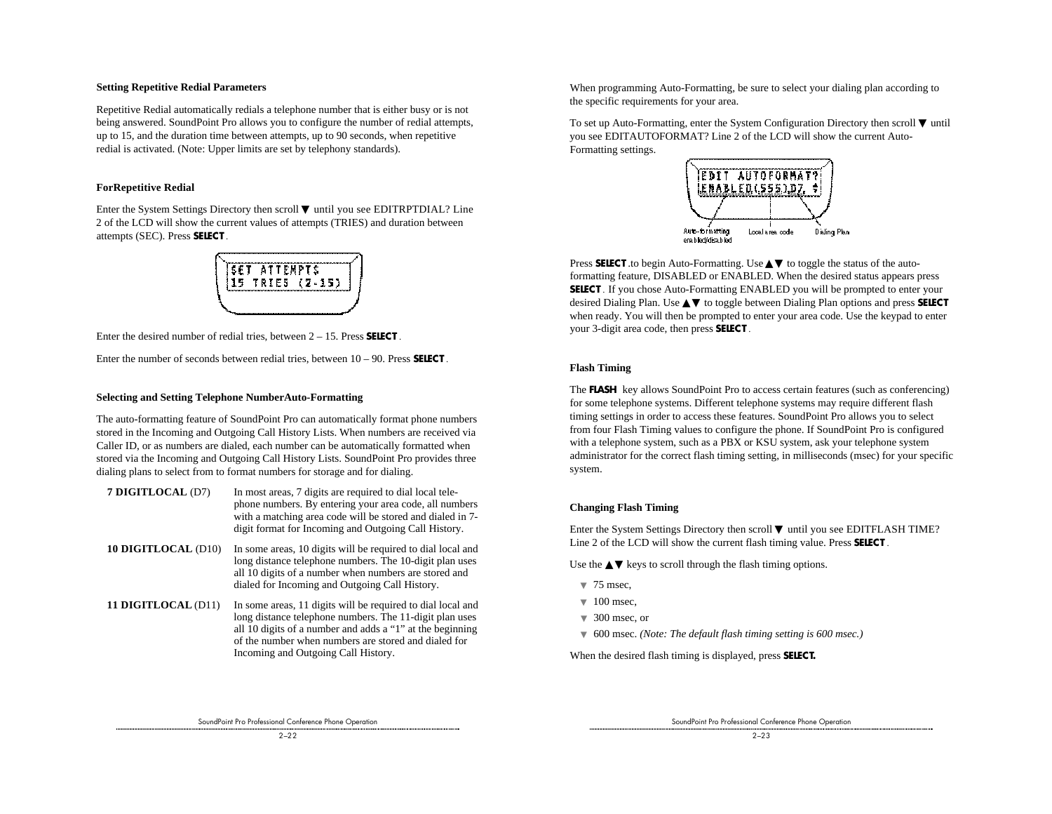#### **Setting Repetitive Redial Parameters**

Repetitive Redial automatically redials a telephone number that is either busy or is not being answered. SoundPoint Pro allows you to configure the number of redial attempts, up to 15, and the duration time between attempts, up to 90 seconds, when repetitive redial is activated. (Note: Upper limits are set by telephony standards).

#### **ForRepetitive Redial**

Enter the System Settings Directory then scroll ▼ until you see EDITRPTDIAL? Line 2 of the LCD will show the current values of attempts (TRIES) and duration between attempts (SEC). Press **SELECT** .



Enter the desired number of redial tries, between 2 – 15. Press **SELECT** .

Enter the number of seconds between redial tries, between 10 – 90. Press **SELECT** .

#### **Selecting and Setting Telephone NumberAuto-Formatting**

The auto-formatting feature of SoundPoint Pro can automatically format phone numbers stored in the Incoming and Outgoing Call History Lists. When numbers are received via Caller ID, or as numbers are dialed, each number can be automatically formatted when stored via the Incoming and Outgoing Call History Lists. SoundPoint Pro provides three dialing plans to select from to format numbers for storage and for dialing.

- **7 DIGITLOCAL** (D7) In most areas, 7 digits are required to dial local telephone numbers. By entering your area code, all numbers with a matching area code will be stored and dialed in 7 digit format for Incoming and Outgoing Call History.
- **10 DIGITLOCAL** (D10) In some areas, 10 digits will be required to dial local and long distance telephone numbers. The 10-digit plan uses all 10 digits of a number when numbers are stored and dialed for Incoming and Outgoing Call History.
- **11 DIGITLOCAL** (D11) In some areas, 11 digits will be required to dial local and long distance telephone numbers. The 11-digit plan uses all 10 digits of a number and adds a "1" at the beginning of the number when numbers are stored and dialed for Incoming and Outgoing Call History.

When programming Auto-Formatting, be sure to select your dialing plan according to the specific requirements for your area.

To set up Auto-Formatting, enter the System Configuration Directory then scroll ▼ until you see EDITAUTOFORMAT? Line 2 of the LCD will show the current Auto-Formatting settings.



Press **SELECT** .to begin Auto-Formatting. Use **△▼** to toggle the status of the autoformatting feature, DISABLED or ENABLED. When the desired status appears press **SELECT**. If you chose Auto-Formatting ENABLED you will be prompted to enter your desired Dialing Plan. Use ▲▼ to toggle between Dialing Plan options and press **SELECT** when ready. You will then be prompted to enter your area code. Use the keypad to enter your 3-digit area code, then press **SELECT** .

#### **Flash Timing**

The **FLASH** key allows SoundPoint Pro to access certain features (such as conferencing) for some telephone systems. Different telephone systems may require different flash timing settings in order to access these features. SoundPoint Pro allows you to select from four Flash Timing values to configure the phone. If SoundPoint Pro is configured with a telephone system, such as a PBX or KSU system, ask your telephone system administrator for the correct flash timing setting, in milliseconds (msec) for your specific system.

#### **Changing Flash Timing**

Enter the System Settings Directory then scroll ▼ until you see EDITFLASH TIME? Line 2 of the LCD will show the current flash timing value. Press **SELECT** .

Use the  $\triangle\blacktriangledown$  keys to scroll through the flash timing options.

- $\sqrt{75}$  msec.
- $\blacktriangledown$  100 msec.
- $\sqrt{ }$  300 msec, or
- ▼ 600 msec. *(Note: The default flash timing setting is 600 msec.)*

When the desired flash timing is displayed, press **SELECT.**

SoundPoint Pro Professional Conference Phone Operation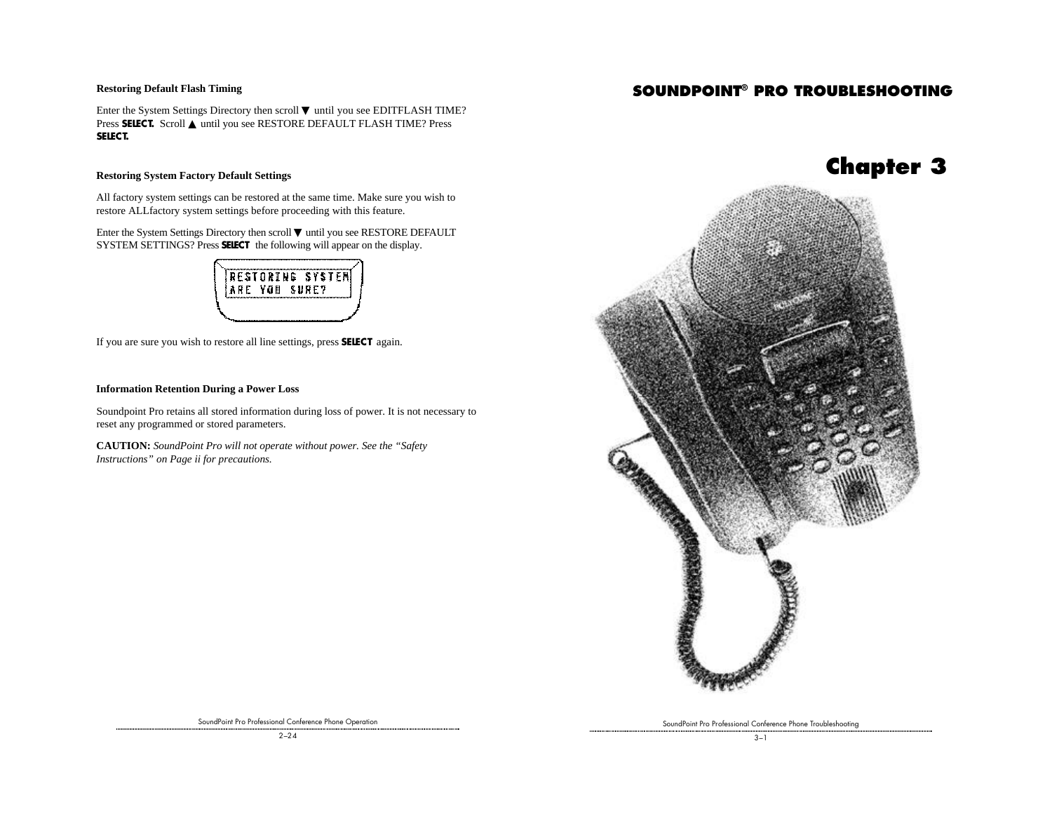#### **Restoring Default Flash Timing**

# **SOUNDPOINT® PRO TROUBLESHOOTING**

Enter the System Settings Directory then scroll ▼ until you see EDITFLASH TIME? Press SELECT. Scroll ▲ until you see RESTORE DEFAULT FLASH TIME? Press **SELECT.**

#### **Restoring System Factory Default Settings**

All factory system settings can be restored at the same time. Make sure you wish to restore ALLfactory system settings before proceeding with this feature.

Enter the System Settings Directory then scroll ▼ until you see RESTORE DEFAULT SYSTEM SETTINGS? Press **SELECT** the following will appear on the display.

| YOU<br>ARE<br>SURE? |
|---------------------|

If you are sure you wish to restore all line settings, press **SELECT** again.

#### **Information Retention During a Power Loss**

Soundpoint Pro retains all stored information during loss of power. It is not necessary to reset any programmed or stored parameters.

**CAUTION:** *SoundPoint Pro will not operate without power. See the "Safety Instructions" on Page ii for precautions.*



SoundPoint Pro Professional Conference Phone Troubleshooting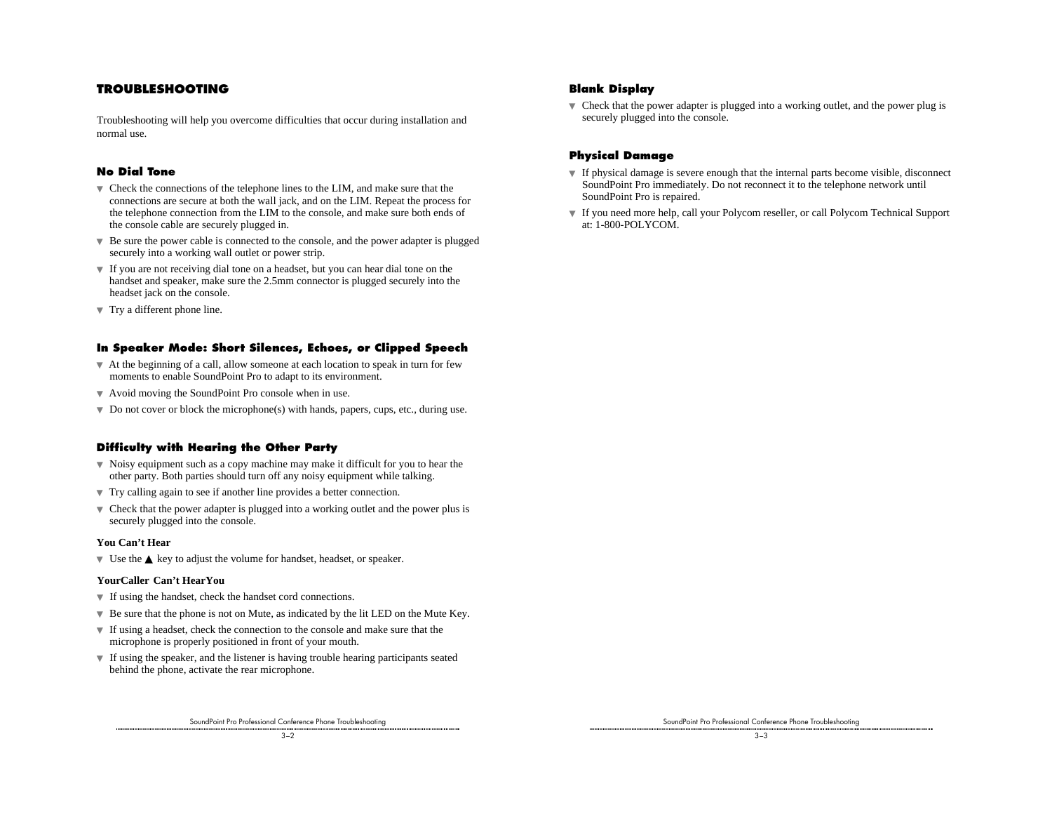### **TROUBLESHOOTING**

Troubleshooting will help you overcome difficulties that occur during installation and normal use.

#### **No Dial Tone**

- ▼ Check the connections of the telephone lines to the LIM, and make sure that the connections are secure at both the wall jack, and on the LIM. Repeat the process for the telephone connection from the LIM to the console, and make sure both ends of the console cable are securely plugged in.
- ▼ Be sure the power cable is connected to the console, and the power adapter is plugged securely into a working wall outlet or power strip.
- ▼ If you are not receiving dial tone on a headset, but you can hear dial tone on the handset and speaker, make sure the 2.5mm connector is plugged securely into the headset jack on the console.
- ▼ Try a different phone line.

#### **In Speaker Mode: Short Silences, Echoes, or Clipped Speech**

- $\blacktriangledown$  At the beginning of a call, allow someone at each location to speak in turn for few moments to enable SoundPoint Pro to adapt to its environment.
- ▼ Avoid moving the SoundPoint Pro console when in use.
- ▼ Do not cover or block the microphone(s) with hands, papers, cups, etc., during use.

#### **Difficulty with Hearing the Other Party**

- $\blacktriangledown$  Noisy equipment such as a copy machine may make it difficult for you to hear the other party. Both parties should turn off any noisy equipment while talking.
- ▼ Try calling again to see if another line provides a better connection.
- ▼ Check that the power adapter is plugged into a working outlet and the power plus is securely plugged into the console.

#### **You Can't Hear**

▼ Use the ▲ key to adjust the volume for handset, headset, or speaker.

#### **YourCaller Can't HearYou**

- ▼ If using the handset, check the handset cord connections.
- $\blacktriangledown$  Be sure that the phone is not on Mute, as indicated by the lit LED on the Mute Key.
- ▼ If using a headset, check the connection to the console and make sure that the microphone is properly positioned in front of your mouth.
- ▼ If using the speaker, and the listener is having trouble hearing participants seated behind the phone, activate the rear microphone.

SoundPoint Pro Professional Conference Phone Troubleshooting

#### **Blank Display**

 $\blacktriangledown$  Check that the power adapter is plugged into a working outlet, and the power plug is securely plugged into the console.

#### **Physical Damage**

- ▼ If physical damage is severe enough that the internal parts become visible, disconnect SoundPoint Pro immediately. Do not reconnect it to the telephone network until SoundPoint Pro is repaired.
- ▼ If you need more help, call your Polycom reseller, or call Polycom Technical Support at: 1-800-POLYCOM.

SoundPoint Pro Professional Conference Phone Troubleshooting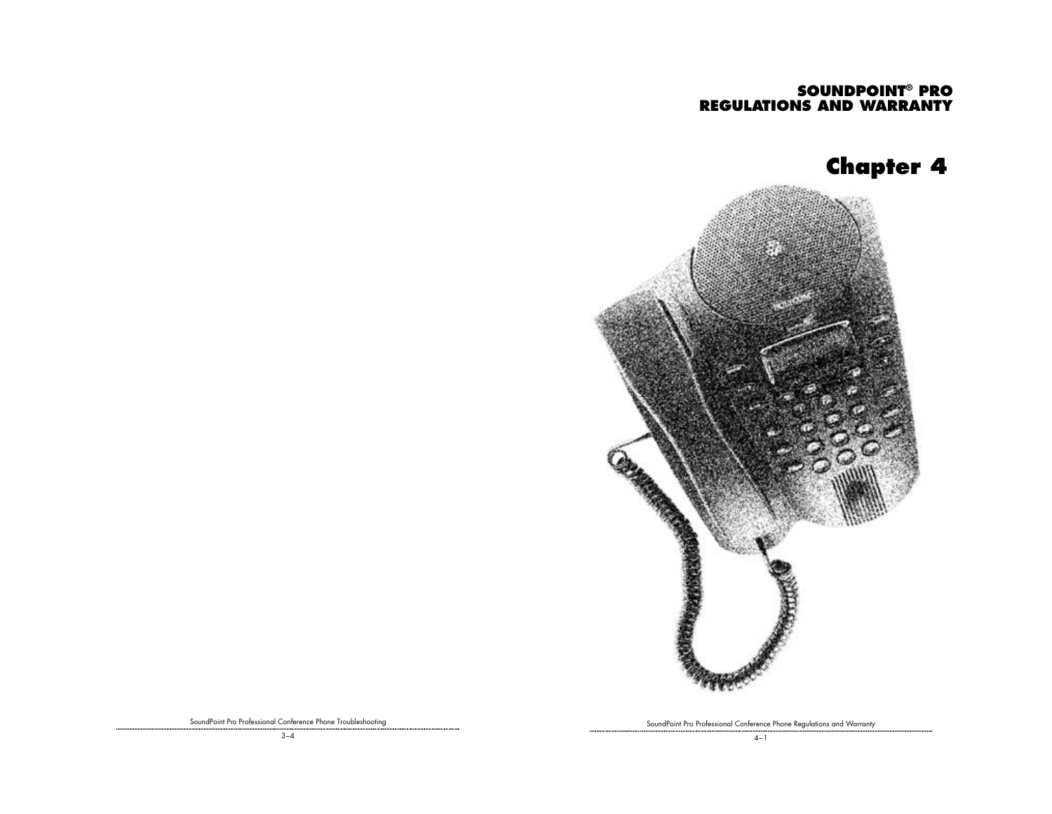# **SOUNDPOINT® PRO REGULATIONS AND WARRANTY**

# **Chapter 4**



SoundPoint Pro Professional Conference Phone Regulations and Warranty

SoundPoint Pro Professional Conference Phone Troubleshooting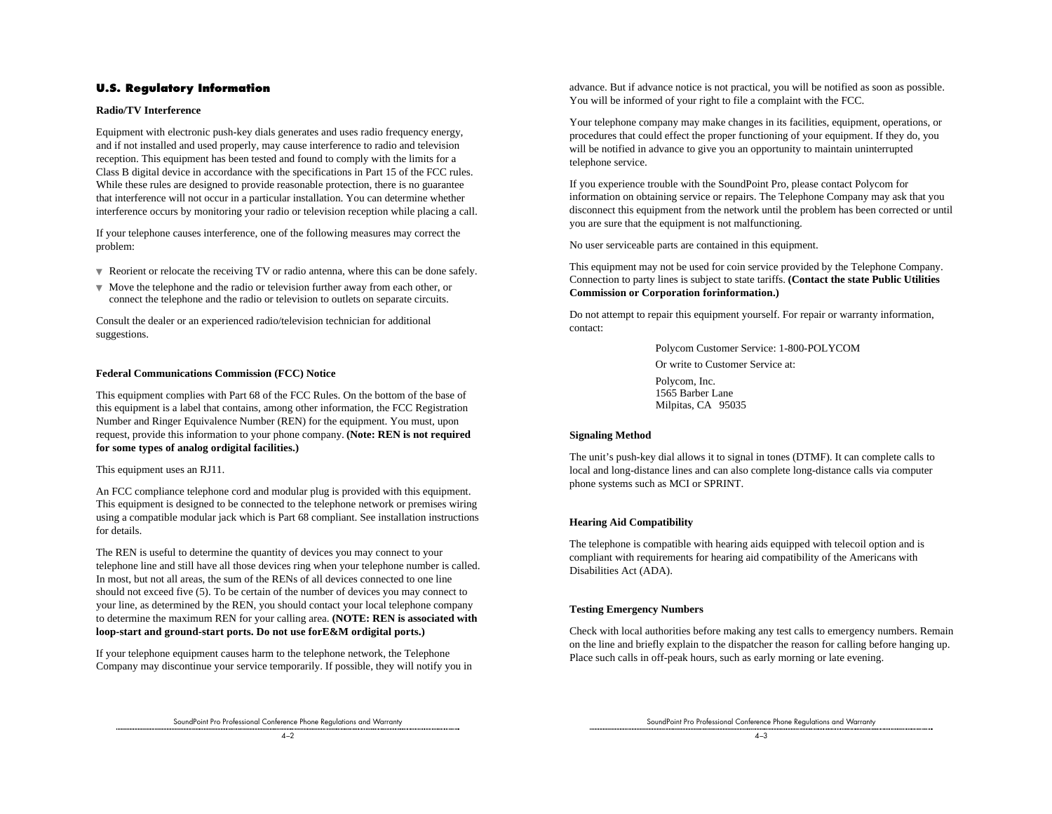#### **U.S. Regulatory Information**

#### **Radio/TV Interference**

Equipment with electronic push-key dials generates and uses radio frequency energy, and if not installed and used properly, may cause interference to radio and television reception. This equipment has been tested and found to comply with the limits for a Class B digital device in accordance with the specifications in Part 15 of the FCC rules. While these rules are designed to provide reasonable protection, there is no guarantee that interference will not occur in a particular installation. You can determine whether interference occurs by monitoring your radio or television reception while placing a call.

If your telephone causes interference, one of the following measures may correct the problem:

- ▼ Reorient or relocate the receiving TV or radio antenna, where this can be done safely.
- ▼ Move the telephone and the radio or television further away from each other, or connect the telephone and the radio or television to outlets on separate circuits.

Consult the dealer or an experienced radio/television technician for additional suggestions.

#### **Federal Communications Commission (FCC) Notice**

This equipment complies with Part 68 of the FCC Rules. On the bottom of the base of this equipment is a label that contains, among other information, the FCC Registration Number and Ringer Equivalence Number (REN) for the equipment. You must, upon request, provide this information to your phone company. **(Note: REN is not required for some types of analog ordigital facilities.)**

This equipment uses an RJ11.

An FCC compliance telephone cord and modular plug is provided with this equipment. This equipment is designed to be connected to the telephone network or premises wiring using a compatible modular jack which is Part 68 compliant. See installation instructions for details.

The REN is useful to determine the quantity of devices you may connect to your telephone line and still have all those devices ring when your telephone number is called. In most, but not all areas, the sum of the RENs of all devices connected to one line should not exceed five (5). To be certain of the number of devices you may connect to your line, as determined by the REN, you should contact your local telephone company to determine the maximum REN for your calling area. **(NOTE: REN is associated with loop-start and ground-start ports. Do not use forE&M ordigital ports.)**

If your telephone equipment causes harm to the telephone network, the Telephone Company may discontinue your service temporarily. If possible, they will notify you in advance. But if advance notice is not practical, you will be notified as soon as possible. You will be informed of your right to file a complaint with the FCC.

Your telephone company may make changes in its facilities, equipment, operations, or procedures that could effect the proper functioning of your equipment. If they do, you will be notified in advance to give you an opportunity to maintain uninterrupted telephone service.

If you experience trouble with the SoundPoint Pro, please contact Polycom for information on obtaining service or repairs. The Telephone Company may ask that you disconnect this equipment from the network until the problem has been corrected or until you are sure that the equipment is not malfunctioning.

No user serviceable parts are contained in this equipment.

This equipment may not be used for coin service provided by the Telephone Company. Connection to party lines is subject to state tariffs. **(Contact the state Public Utilities Commission or Corporation forinformation.)**

Do not attempt to repair this equipment yourself. For repair or warranty information, contact:

> Polycom Customer Service: 1-800-POLYCOM Or write to Customer Service at: Polycom, Inc. 1565 Barber Lane

Milpitas, CA 95035

#### **Signaling Method**

The unit's push-key dial allows it to signal in tones (DTMF). It can complete calls to local and long-distance lines and can also complete long-distance calls via computer phone systems such as MCI or SPRINT.

#### **Hearing Aid Compatibility**

The telephone is compatible with hearing aids equipped with telecoil option and is compliant with requirements for hearing aid compatibility of the Americans with Disabilities Act (ADA).

#### **Testing Emergency Numbers**

Check with local authorities before making any test calls to emergency numbers. Remain on the line and briefly explain to the dispatcher the reason for calling before hanging up. Place such calls in off-peak hours, such as early morning or late evening.

SoundPoint Pro Professional Conference Phone Regulations and Warranty

SoundPoint Pro Professional Conference Phone Regulations and Warranty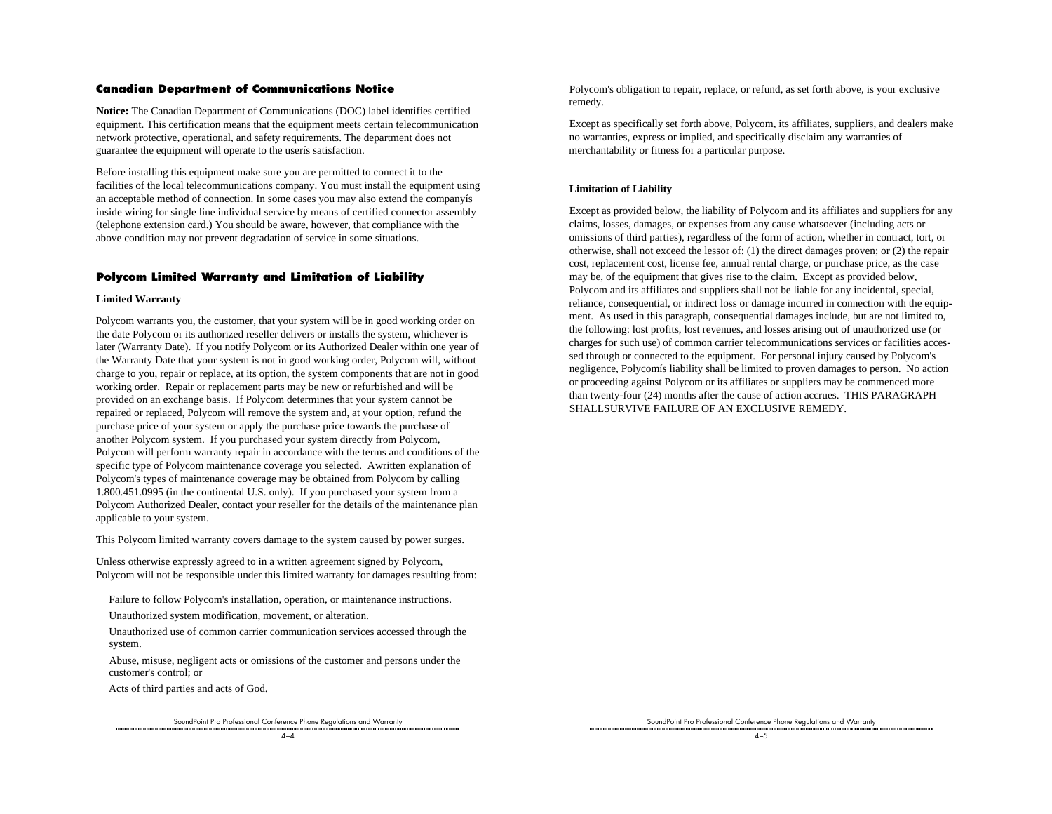#### **Canadian Department of Communications Notice**

**Notice:** The Canadian Department of Communications (DOC) label identifies certified equipment. This certification means that the equipment meets certain telecommunication network protective, operational, and safety requirements. The department does not guarantee the equipment will operate to the userís satisfaction.

Before installing this equipment make sure you are permitted to connect it to the facilities of the local telecommunications company. You must install the equipment using an acceptable method of connection. In some cases you may also extend the companyís inside wiring for single line individual service by means of certified connector assembly (telephone extension card.) You should be aware, however, that compliance with the above condition may not prevent degradation of service in some situations.

#### **Polycom Limited Warranty and Limitation of Liability**

#### **Limited Warranty**

Polycom warrants you, the customer, that your system will be in good working order on the date Polycom or its authorized reseller delivers or installs the system, whichever is later (Warranty Date). If you notify Polycom or its Authorized Dealer within one year of the Warranty Date that your system is not in good working order, Polycom will, without charge to you, repair or replace, at its option, the system components that are not in good working order. Repair or replacement parts may be new or refurbished and will be provided on an exchange basis. If Polycom determines that your system cannot be repaired or replaced, Polycom will remove the system and, at your option, refund the purchase price of your system or apply the purchase price towards the purchase of another Polycom system. If you purchased your system directly from Polycom, Polycom will perform warranty repair in accordance with the terms and conditions of the specific type of Polycom maintenance coverage you selected. Awritten explanation of Polycom's types of maintenance coverage may be obtained from Polycom by calling 1.800.451.0995 (in the continental U.S. only). If you purchased your system from a Polycom Authorized Dealer, contact your reseller for the details of the maintenance plan applicable to your system.

This Polycom limited warranty covers damage to the system caused by power surges.

Unless otherwise expressly agreed to in a written agreement signed by Polycom, Polycom will not be responsible under this limited warranty for damages resulting from:

Failure to follow Polycom's installation, operation, or maintenance instructions.

Unauthorized system modification, movement, or alteration.

Unauthorized use of common carrier communication services accessed through the system.

Abuse, misuse, negligent acts or omissions of the customer and persons under the customer's control; or

Acts of third parties and acts of God.

SoundPoint Pro Professional Conference Phone Regulations and Warranty

Polycom's obligation to repair, replace, or refund, as set forth above, is your exclusive remedy.

Except as specifically set forth above, Polycom, its affiliates, suppliers, and dealers make no warranties, express or implied, and specifically disclaim any warranties of merchantability or fitness for a particular purpose.

#### **Limitation of Liability**

Except as provided below, the liability of Polycom and its affiliates and suppliers for any claims, losses, damages, or expenses from any cause whatsoever (including acts or omissions of third parties), regardless of the form of action, whether in contract, tort, or otherwise, shall not exceed the lessor of: (1) the direct damages proven; or (2) the repair cost, replacement cost, license fee, annual rental charge, or purchase price, as the case may be, of the equipment that gives rise to the claim. Except as provided below, Polycom and its affiliates and suppliers shall not be liable for any incidental, special, reliance, consequential, or indirect loss or damage incurred in connection with the equipment. As used in this paragraph, consequential damages include, but are not limited to, the following: lost profits, lost revenues, and losses arising out of unauthorized use (or charges for such use) of common carrier telecommunications services or facilities accessed through or connected to the equipment. For personal injury caused by Polycom's negligence, Polycomís liability shall be limited to proven damages to person. No action or proceeding against Polycom or its affiliates or suppliers may be commenced more than twenty-four (24) months after the cause of action accrues. THIS PARAGRAPH SHALLSURVIVE FAILURE OF AN EXCLUSIVE REMEDY.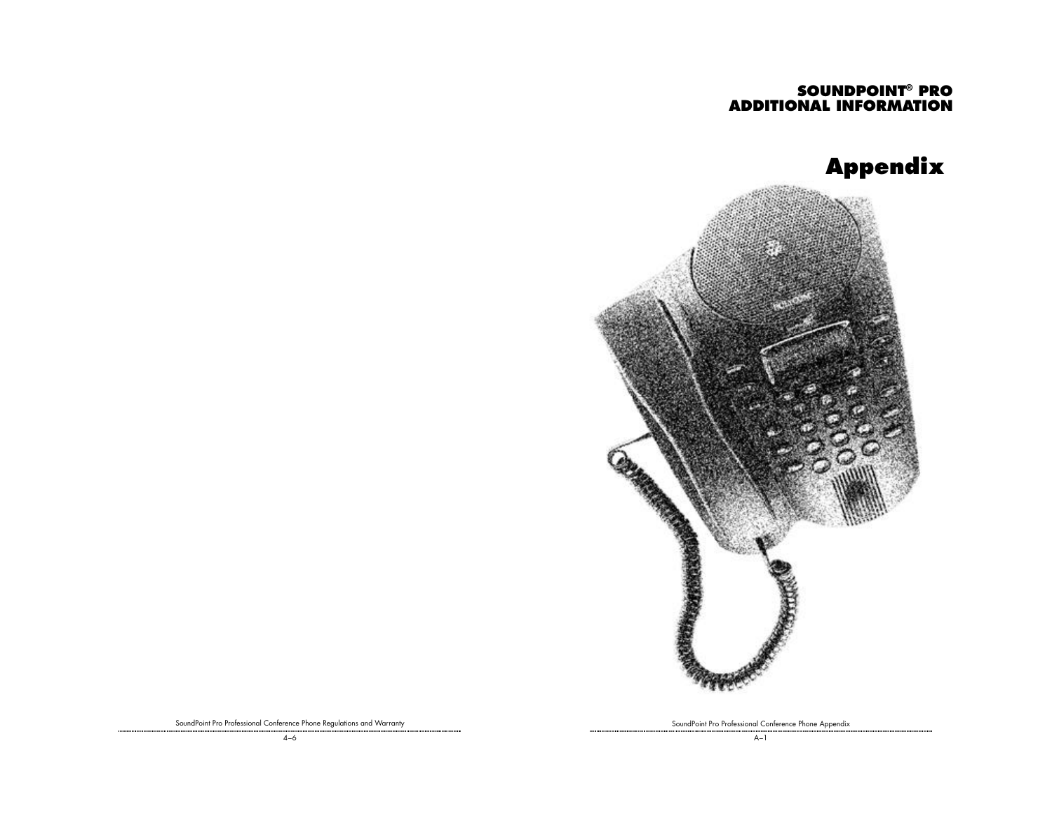# **SOUNDPOINT® PRO ADDITIONAL INFORMATION**





SoundPoint Pro Professional Conference Phone Regulations and Warranty

SoundPoint Pro Professional Conference Phone Appendix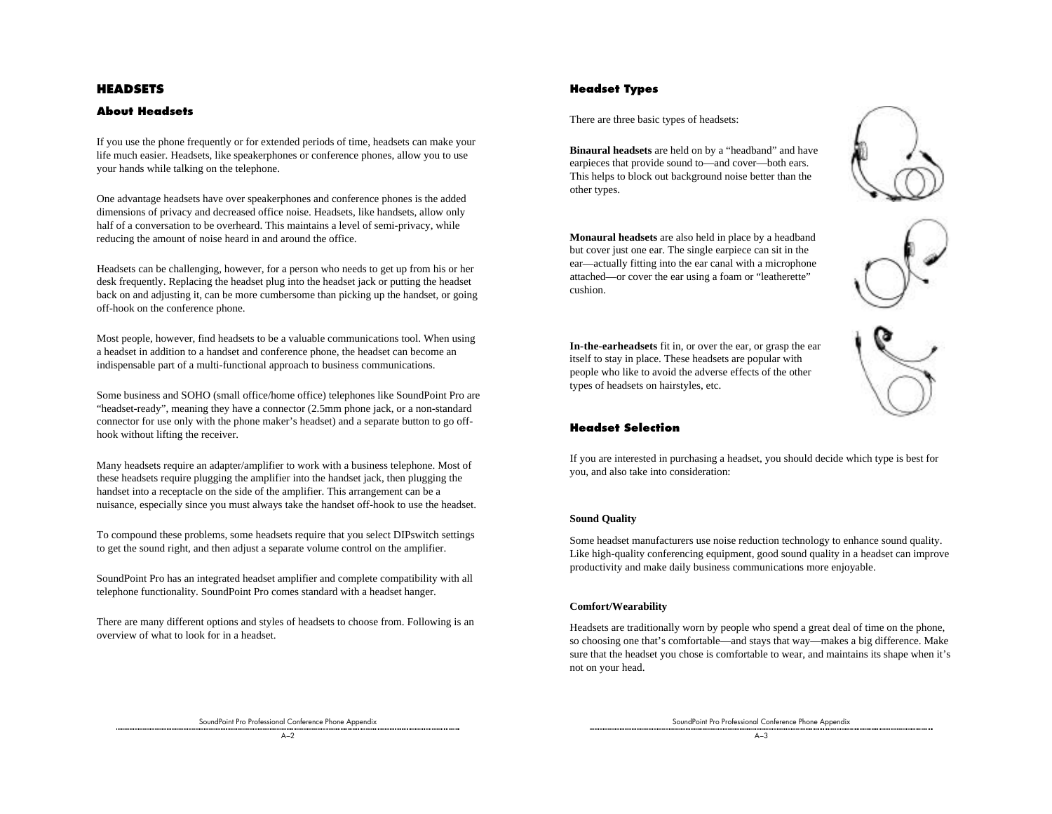### **HEADSETS**

#### **About Headsets**

If you use the phone frequently or for extended periods of time, headsets can make your life much easier. Headsets, like speakerphones or conference phones, allow you to use your hands while talking on the telephone.

One advantage headsets have over speakerphones and conference phones is the added dimensions of privacy and decreased office noise. Headsets, like handsets, allow only half of a conversation to be overheard. This maintains a level of semi-privacy, while reducing the amount of noise heard in and around the office.

Headsets can be challenging, however, for a person who needs to get up from his or her desk frequently. Replacing the headset plug into the headset jack or putting the headset back on and adjusting it, can be more cumbersome than picking up the handset, or going off-hook on the conference phone.

Most people, however, find headsets to be a valuable communications tool. When using a headset in addition to a handset and conference phone, the headset can become an indispensable part of a multi-functional approach to business communications.

Some business and SOHO (small office/home office) telephones like SoundPoint Pro are "headset-ready", meaning they have a connector (2.5mm phone jack, or a non-standard connector for use only with the phone maker's headset) and a separate button to go offhook without lifting the receiver.

Many headsets require an adapter/amplifier to work with a business telephone. Most of these headsets require plugging the amplifier into the handset jack, then plugging the handset into a receptacle on the side of the amplifier. This arrangement can be a nuisance, especially since you must always take the handset off-hook to use the headset.

To compound these problems, some headsets require that you select DIPswitch settings to get the sound right, and then adjust a separate volume control on the amplifier.

SoundPoint Pro has an integrated headset amplifier and complete compatibility with all telephone functionality. SoundPoint Pro comes standard with a headset hanger.

There are many different options and styles of headsets to choose from. Following is an overview of what to look for in a headset.

### **Headset Types**

There are three basic types of headsets:

**Binaural headsets** are held on by a "headband" and have earpieces that provide sound to—and cover—both ears. This helps to block out background noise better than the other types.

**Monaural headsets** are also held in place by a headband but cover just one ear. The single earpiece can sit in the ear—actually fitting into the ear canal with a microphone attached—or cover the ear using a foam or "leatherette" cushion.





**In-the-earheadsets** fit in, or over the ear, or grasp the ear itself to stay in place. These headsets are popular with people who like to avoid the adverse effects of the other types of headsets on hairstyles, etc.



#### **Headset Selection**

If you are interested in purchasing a headset, you should decide which type is best for you, and also take into consideration:

#### **Sound Quality**

Some headset manufacturers use noise reduction technology to enhance sound quality. Like high-quality conferencing equipment, good sound quality in a headset can improve productivity and make daily business communications more enjoyable.

#### **Comfort/Wearability**

Headsets are traditionally worn by people who spend a great deal of time on the phone, so choosing one that's comfortable—and stays that way—makes a big difference. Make sure that the headset you chose is comfortable to wear, and maintains its shape when it's not on your head.

SoundPoint Pro Professional Conference Phone Appendix

SoundPoint Pro Professional Conference Phone Appendix